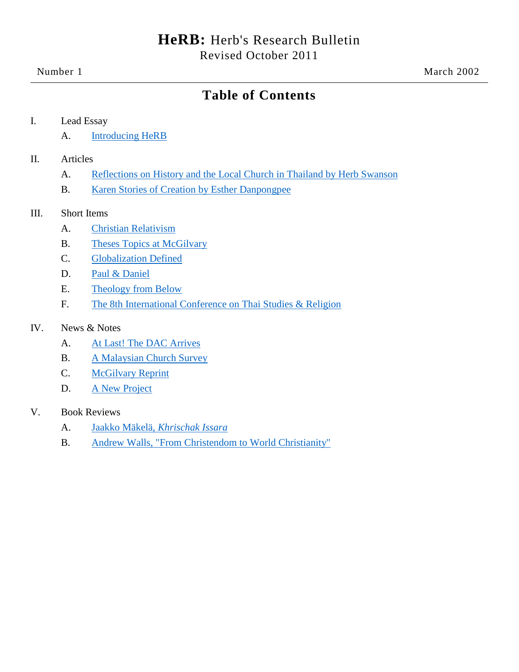# **Table of Contents**

#### I. Lead Essay

A. [Introducing HeRB](#page-1-0)

#### II. Articles

- A. [Reflections on History and the Local Church](#page-2-0) in Thailand by Herb Swanson
- B. [Karen Stories of Creation](#page-7-0) by Esther Danpongpee

#### III. Short Items

- A. [Christian Relativism](#page-21-0)
- B. [Theses Topics at McGilvary](#page-22-0)
- C. [Globalization Defined](#page-23-0)
- D. [Paul & Daniel](#page-23-1)
- E. [Theology from Below](#page-24-0)
- F. [The 8th International Conference on Thai Studies & Religion](#page-24-1)

#### IV. News & Notes

- A. [At Last! The DAC Arrives](#page-25-0)
- **B.** [A Malaysian Church Survey](#page-25-1)
- C. [McGilvary Reprint](#page-26-0)
- D. [A New Project](#page-26-1)

#### V. Book Reviews

- A. Jaakko Mäkelä, *[Khrischak Issara](#page-26-2)*
- B. [Andrew Walls, "From Christendom to World Christianity"](#page-29-0)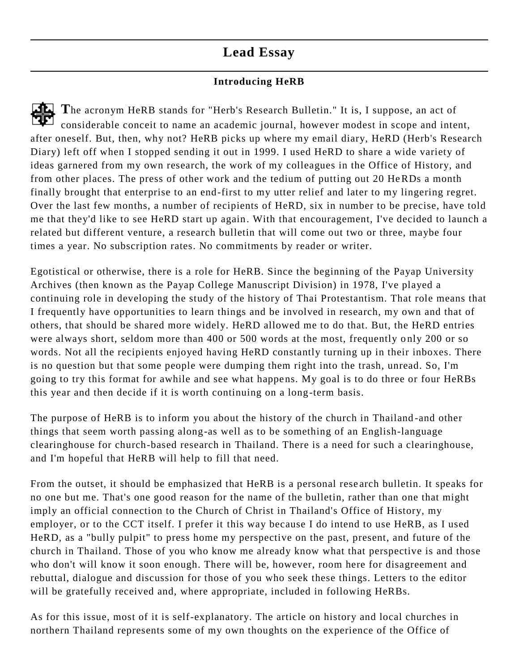# **Lead Essay**

## **Introducing HeRB**

<span id="page-1-0"></span>**T**he acronym HeRB stands for "Herb's Research Bulletin." It is, I suppose, an act of considerable conceit to name an academic journal, however modest in scope and intent, after oneself. But, then, why not? HeRB picks up where my email diary, HeRD (Herb's Research Diary) left off when I stopped sending it out in 1999. I used HeRD to share a wide variety of ideas garnered from my own research, the work of my colleagues in the Office of History, and from other places. The press of other work and the tedium of putting out 20 HeRDs a month finally brought that enterprise to an end-first to my utter relief and later to my lingering regret. Over the last few months, a number of recipients of HeRD, six in number to be precise, have told me that they'd like to see HeRD start up again. With that encouragement, I've decided to launch a related but different venture, a research bulletin that will come out two or three, maybe four times a year. No subscription rates. No commitments by reader or writer.

Egotistical or otherwise, there is a role for HeRB. Since the beginning of the Payap University Archives (then known as the Payap College Manuscript Division) in 1978, I've played a continuing role in developing the study of the history of Thai Protestantism. That role means that I frequently have opportunities to learn things and be involved in research, my own and that of others, that should be shared more widely. HeRD allowed me to do that. But, the HeRD entries were always short, seldom more than 400 or 500 words at the most, frequently o nly 200 or so words. Not all the recipients enjoyed having HeRD constantly turning up in their inboxes. There is no question but that some people were dumping them right into the trash, unread. So, I'm going to try this format for awhile and see what happens. My goal is to do three or four HeRBs this year and then decide if it is worth continuing on a long-term basis.

The purpose of HeRB is to inform you about the history of the church in Thailand -and other things that seem worth passing along-as well as to be something of an English-language clearinghouse for church-based research in Thailand. There is a need for such a clearinghouse, and I'm hopeful that HeRB will help to fill that need.

From the outset, it should be emphasized that HeRB is a personal rese arch bulletin. It speaks for no one but me. That's one good reason for the name of the bulletin, rather than one that might imply an official connection to the Church of Christ in Thailand's Office of History, my employer, or to the CCT itself. I prefer it this way because I do intend to use HeRB, as I used HeRD, as a "bully pulpit" to press home my perspective on the past, present, and future of the church in Thailand. Those of you who know me already know what that perspective is and those who don't will know it soon enough. There will be, however, room here for disagreement and rebuttal, dialogue and discussion for those of you who seek these things. Letters to the editor will be gratefully received and, where appropriate, included in following HeRBs.

As for this issue, most of it is self-explanatory. The article on history and local churches in northern Thailand represents some of my own thoughts on the experience of the Office of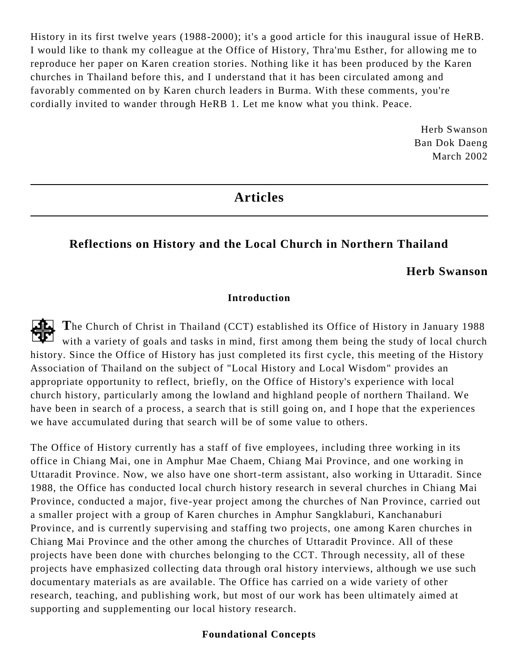History in its first twelve years (1988-2000); it's a good article for this inaugural issue of HeRB. I would like to thank my colleague at the Office of History, Thra'mu Esther, for allowing me to reproduce her paper on Karen creation stories. Nothing like it has been produced by the Karen churches in Thailand before this, and I understand that it has been circulated among and favorably commented on by Karen church leaders in Burma. With these comments, you're cordially invited to wander through HeRB 1. Let me know what you think. Peace.

> Herb Swanson Ban Dok Daeng March 2002

# **Articles**

### <span id="page-2-0"></span>**Reflections on History and the Local Church in Northern Thailand**

#### **Herb Swanson**

#### **Introduction**

**T**he Church of Christ in Thailand (CCT) established its Office of History in January 1988 with a variety of goals and tasks in mind, first among them being the study of local church history. Since the Office of History has just completed its first cycle, this meeting of the History Association of Thailand on the subject of "Local History and Local Wisdom" provides an appropriate opportunity to reflect, briefly, on the Office of History's experience with local church history, particularly among the lowland and highland people of northern Thailand. We have been in search of a process, a search that is still going on, and I hope that the experiences we have accumulated during that search will be of some value to others.

The Office of History currently has a staff of five employees, including three working in its office in Chiang Mai, one in Amphur Mae Chaem, Chiang Mai Province, and one working in Uttaradit Province. Now, we also have one short-term assistant, also working in Uttaradit. Since 1988, the Office has conducted local church history research in several churches in Chiang Mai Province, conducted a major, five-year project among the churches of Nan Province, carried out a smaller project with a group of Karen churches in Amphur Sangklaburi, Kanchanaburi Province, and is currently supervising and staffing two projects, one among Karen churches in Chiang Mai Province and the other among the churches of Uttaradit Province. All of these projects have been done with churches belonging to the CCT. Through necessity, all of these projects have emphasized collecting data through oral history interviews, although we use such documentary materials as are available. The Office has carried on a wide variety of other research, teaching, and publishing work, but most of our work has been ultimately aimed at supporting and supplementing our local history research.

#### **Foundational Concepts**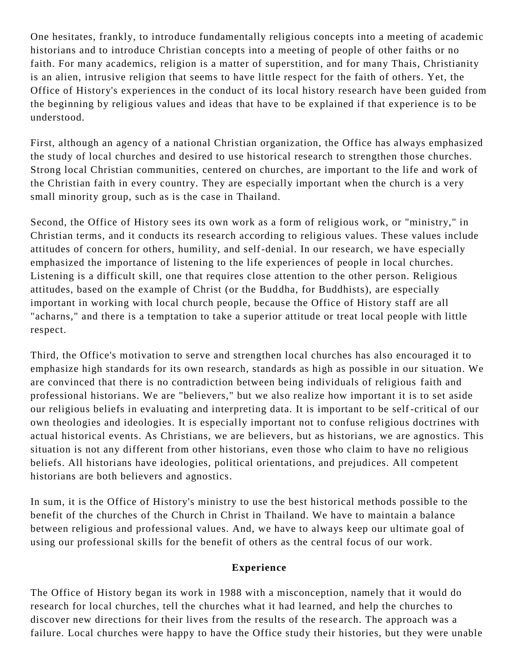One hesitates, frankly, to introduce fundamentally religious concepts into a meeting of academic historians and to introduce Christian concepts into a meeting of people of other faiths or no faith. For many academics, religion is a matter of superstition, and for many Thais, Christianity is an alien, intrusive religion that seems to have little respect for the faith of others. Yet, the Office of History's experiences in the conduct of its local history research have been guided from the beginning by religious values and ideas that have to be explained if that experience is to be understood.

First, although an agency of a national Christian organization, the Office has always emphasized the study of local churches and desired to use historical research to strengthen those churches. Strong local Christian communities, centered on churches, are important to the life and work of the Christian faith in every country. They are especially important when the church is a very small minority group, such as is the case in Thailand.

Second, the Office of History sees its own work as a form of religious work, or "ministry," in Christian terms, and it conducts its research according to religious values. These values include attitudes of concern for others, humility, and self-denial. In our research, we have especially emphasized the importance of listening to the life experiences of people in local churches. Listening is a difficult skill, one that requires close attention to the other person. Religious attitudes, based on the example of Christ (or the Buddha, for Buddhists), are especially important in working with local church people, because the Office of History staff are all "acharns," and there is a temptation to take a superior attitude or treat local people with little respect.

Third, the Office's motivation to serve and strengthen local churches has also encouraged it to emphasize high standards for its own research, standards as high as possible in our situation. We are convinced that there is no contradiction between being individuals of religious faith and professional historians. We are "believers," but we also realize how important it is to set aside our religious beliefs in evaluating and interpreting data. It is important to be self-critical of our own theologies and ideologies. It is especially important not to confuse religious doctrines with actual historical events. As Christians, we are believers, but as historians, we are agnostics. This situation is not any different from other historians, even those who claim to have no religious beliefs. All historians have ideologies, political orientations, and prejudices. All competent historians are both believers and agnostics.

In sum, it is the Office of History's ministry to use the best historical methods possible to the benefit of the churches of the Church in Christ in Thailand. We have to maintain a balance between religious and professional values. And, we have to always keep our ultimate goal of using our professional skills for the benefit of others as the central focus of our work.

#### **Experience**

The Office of History began its work in 1988 with a misconception, namely that it would do research for local churches, tell the churches what it had learned, and help the churches to discover new directions for their lives from the results of the rese arch. The approach was a failure. Local churches were happy to have the Office study their histories, but they were unable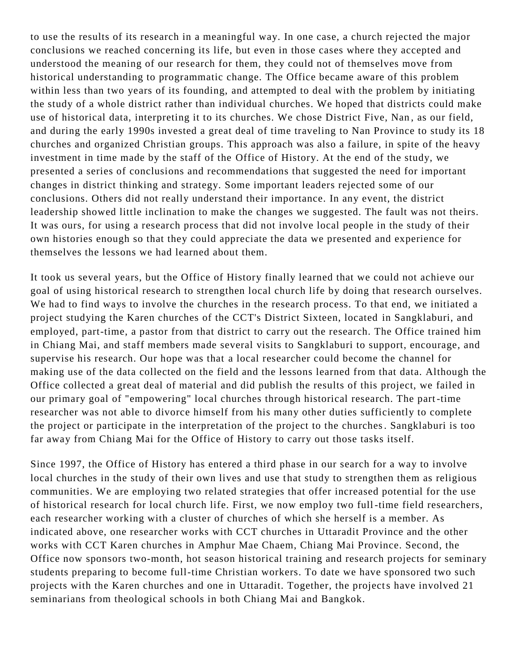to use the results of its research in a meaningful way. In one case, a church rejected the major conclusions we reached concerning its life, but even in those cases where they accepted and understood the meaning of our research for them, they could not of themselves move from historical understanding to programmatic change. The Office became aware of this problem within less than two years of its founding, and attempted to deal with the problem by initiating the study of a whole district rather than individual churches. We hoped that districts could make use of historical data, interpreting it to its churches. We chose District Five, Nan , as our field, and during the early 1990s invested a great deal of time traveling to Nan Province to study its 18 churches and organized Christian groups. This approach was also a failure, in spite of the heavy investment in time made by the staff of the Office of History. At the end of the study, we presented a series of conclusions and recommendations that suggested the need for important changes in district thinking and strategy. Some important leaders rejected some of our conclusions. Others did not really understand their importance. In any event, the district leadership showed little inclination to make the changes we suggested. The fault was not theirs. It was ours, for using a research process that did not involve local people in the study of their own histories enough so that they could appreciate the data we presented and experience for themselves the lessons we had learned about them.

It took us several years, but the Office of History finally learned that we could not achieve our goal of using historical research to strengthen local church life by doing that research ourselves. We had to find ways to involve the churches in the research process. To that end, we initiated a project studying the Karen churches of the CCT's District Sixteen, located in Sangklaburi, and employed, part-time, a pastor from that district to carry out the research. The Office trained him in Chiang Mai, and staff members made several visits to Sangklaburi to support, encourage, and supervise his research. Our hope was that a local researcher could become the channel for making use of the data collected on the field and the lessons learned from that data. Although the Office collected a great deal of material and did publish the results of this project, we failed in our primary goal of "empowering" local churches through historical research. The part-time researcher was not able to divorce himself from his many other duties sufficiently to complete the project or participate in the interpretation of the project to the churches. Sangklaburi is too far away from Chiang Mai for the Office of History to carry out those tasks itself.

Since 1997, the Office of History has entered a third phase in our search for a way to involve local churches in the study of their own lives and use that study to strengthen them as religious communities. We are employing two related strategies that offer increased potential for the use of historical research for local church life. First, we now employ two full-time field researchers, each researcher working with a cluster of churches of which she herself is a member. As indicated above, one researcher works with CCT churches in Uttaradit Province and the other works with CCT Karen churches in Amphur Mae Chaem, Chiang Mai Province. Second, the Office now sponsors two-month, hot season historical training and research projects for seminary students preparing to become full-time Christian workers. To date we have sponsored two such projects with the Karen churches and one in Uttaradit. Together, the projects have involved 21 seminarians from theological schools in both Chiang Mai and Bangkok.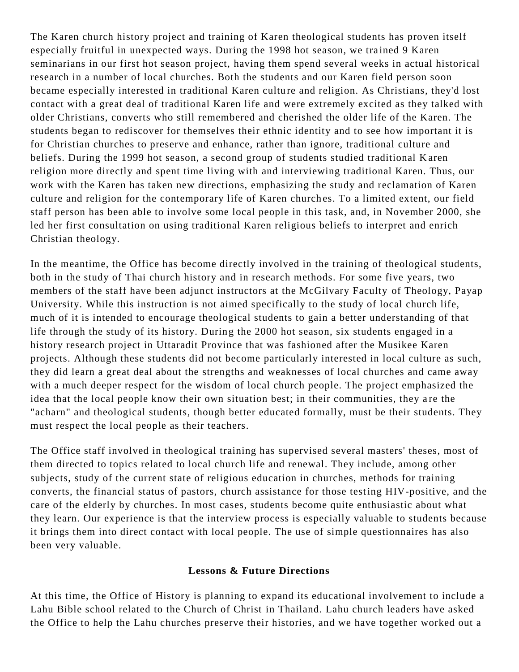The Karen church history project and training of Karen theological students has proven itself especially fruitful in unexpected ways. During the 1998 hot season, we trained 9 Karen seminarians in our first hot season project, having them spend several weeks in actual historical research in a number of local churches. Both the students and our Karen field person soon became especially interested in traditional Karen culture and religion. As Christians, they'd lost contact with a great deal of traditional Karen life and were extremely excited as they talked with older Christians, converts who still remembered and cherished the older life of the Karen. The students began to rediscover for themselves their ethnic identity and to see how important it is for Christian churches to preserve and enhance, rather than ignore, traditional culture and beliefs. During the 1999 hot season, a second group of students studied traditional K aren religion more directly and spent time living with and interviewing traditional Karen. Thus, our work with the Karen has taken new directions, emphasizing the study and reclamation of Karen culture and religion for the contemporary life of Karen churches. To a limited extent, our field staff person has been able to involve some local people in this task, and, in November 2000, she led her first consultation on using traditional Karen religious beliefs to interpret and enrich Christian theology.

In the meantime, the Office has become directly involved in the training of theological students, both in the study of Thai church history and in research methods. For some five years, two members of the staff have been adjunct instructors at the McGilvary Faculty of Theology, Payap University. While this instruction is not aimed specifically to the study of local church life, much of it is intended to encourage theological students to gain a better understanding of that life through the study of its history. During the 2000 hot season, six students engaged in a history research project in Uttaradit Province that was fashioned after the Musikee Karen projects. Although these students did not become particularly interested in local culture as such, they did learn a great deal about the strengths and weaknesses of local churches and came away with a much deeper respect for the wisdom of local church people. The project emphasized the idea that the local people know their own situation best; in their communities, they a re the "acharn" and theological students, though better educated formally, must be their students. They must respect the local people as their teachers.

The Office staff involved in theological training has supervised several masters' theses, most of them directed to topics related to local church life and renewal. They include, among other subjects, study of the current state of religious education in churches, methods for training converts, the financial status of pastors, church assistance for those test ing HIV-positive, and the care of the elderly by churches. In most cases, students become quite enthusiastic about what they learn. Our experience is that the interview process is especially valuable to students because it brings them into direct contact with local people. The use of simple questionnaires has also been very valuable.

#### **Lessons & Future Directions**

At this time, the Office of History is planning to expand its educational involvement to include a Lahu Bible school related to the Church of Christ in Thailand. Lahu church leaders have asked the Office to help the Lahu churches preserve their histories, and we have together worked out a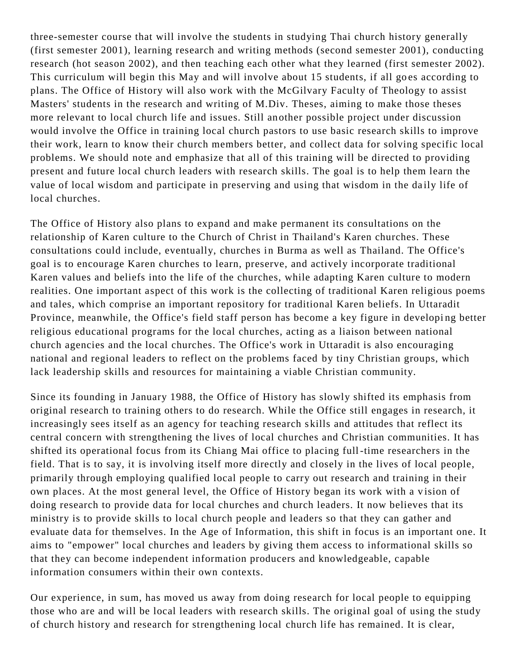three-semester course that will involve the students in studying Thai church history generally (first semester 2001), learning research and writing methods (second semester 2001), conducting research (hot season 2002), and then teaching each other what they learned (first semester 2002). This curriculum will begin this May and will involve about 15 students, if all goes according to plans. The Office of History will also work with the McGilvary Faculty of Theology to assist Masters' students in the research and writing of M.Div. Theses, aiming to make those theses more relevant to local church life and issues. Still another possible project under discussion would involve the Office in training local church pastors to use basic research skills to improve their work, learn to know their church members better, and collect data for solving specific local problems. We should note and emphasize that all of this training will be directed to providing present and future local church leaders with research skills. The goal is to help them learn the value of local wisdom and participate in preserving and using that wisdom in the daily life of local churches.

The Office of History also plans to expand and make permanent its consultations on the relationship of Karen culture to the Church of Christ in Thailand's Karen churches. These consultations could include, eventually, churches in Burma as well as Thailand. The Office's goal is to encourage Karen churches to learn, preserve, and actively incorporate traditional Karen values and beliefs into the life of the churches, while adapting Karen culture to modern realities. One important aspect of this work is the collecting of traditional Karen religious poems and tales, which comprise an important repository for traditional Karen beliefs. In Uttaradit Province, meanwhile, the Office's field staff person has become a key figure in developing better religious educational programs for the local churches, acting as a liaison between national church agencies and the local churches. The Office's work in Uttaradit is also encouraging national and regional leaders to reflect on the problems faced by tiny Christian groups, which lack leadership skills and resources for maintaining a viable Christian community.

Since its founding in January 1988, the Office of History has slowly shifted its emphasis from original research to training others to do research. While the Office still engages in research, it increasingly sees itself as an agency for teaching research s kills and attitudes that reflect its central concern with strengthening the lives of local churches and Christian communities. It has shifted its operational focus from its Chiang Mai office to placing full-time researchers in the field. That is to say, it is involving itself more directly and closely in the lives of local people, primarily through employing qualified local people to carry out research and training in their own places. At the most general level, the Office of History began its work with a vision of doing research to provide data for local churches and church leaders. It now believes that its ministry is to provide skills to local church people and leaders so that they can gather and evaluate data for themselves. In the Age of Information, this shift in focus is an important one. It aims to "empower" local churches and leaders by giving them access to informational skills so that they can become independent information producers and knowledgeable, capable information consumers within their own contexts.

Our experience, in sum, has moved us away from doing research for local people to equipping those who are and will be local leaders with research skills. The original goal of using the study of church history and research for strengthening local church life has remained. It is clear,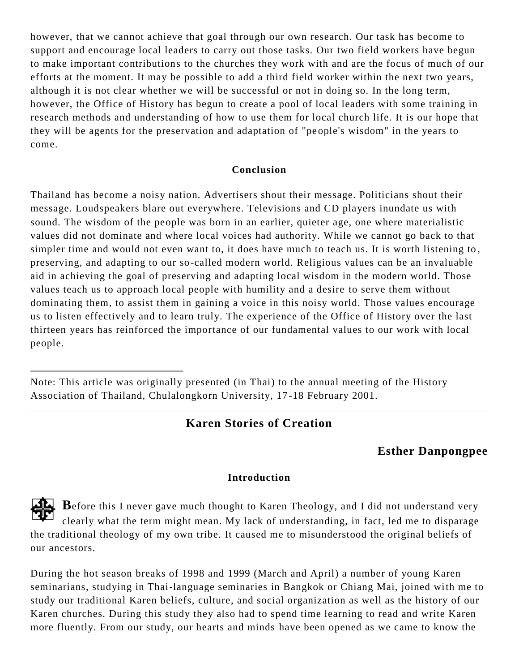however, that we cannot achieve that goal through our own research. Our task has become to support and encourage local leaders to carry out those tasks. Our two field workers have begun to make important contributions to the churches they work with and are the focus of much of our efforts at the moment. It may be possible to add a third field worker within the next two years, although it is not clear whether we will be successful or not in doing so. In the long term, however, the Office of History has begun to create a pool of local leaders with some training in research methods and understanding of how to use them for local church life. It is our hope that they will be agents for the preservation and adaptation of "people's wisdom" in the years to come.

#### **Conclusion**

Thailand has become a noisy nation. Advertisers shout their message. Politicians shout their message. Loudspeakers blare out everywhere. Televisions and CD players inundate us with sound. The wisdom of the people was born in an earlier, quieter age, one where materialistic values did not dominate and where local voices had authority. While we cannot go back to that simpler time and would not even want to, it does have much to teach us. It is worth listening to , preserving, and adapting to our so-called modern world. Religious values can be an invaluable aid in achieving the goal of preserving and adapting local wisdom in the modern world. Those values teach us to approach local people with humility and a desire to serve them without dominating them, to assist them in gaining a voice in this noisy world. Those values encourage us to listen effectively and to learn truly. The experience of the Office of History over the last thirteen years has reinforced the importance of our fundamental values to our work with local people.

#### **Karen Stories of Creation**

## <span id="page-7-0"></span>**Esther Danpongpee**

#### **Introduction**

**B**efore this I never gave much thought to Karen Theology, and I did not understand very clearly what the term might mean. My lack of understanding, in fact, led me to disparage the traditional theology of my own tribe. It caused me to misunderstood the original beliefs of our ancestors.

During the hot season breaks of 1998 and 1999 (March and April) a number of young Karen seminarians, studying in Thai-language seminaries in Bangkok or Chiang Mai, joined with me to study our traditional Karen beliefs, culture, and social organization as well as the history of our Karen churches. During this study they also had to spend time learning to read and write Karen more fluently. From our study, our hearts and minds have been opened as we came to know the

Note: This article was originally presented (in Thai) to the annual meeting of the History Association of Thailand, Chulalongkorn University, 17 -18 February 2001.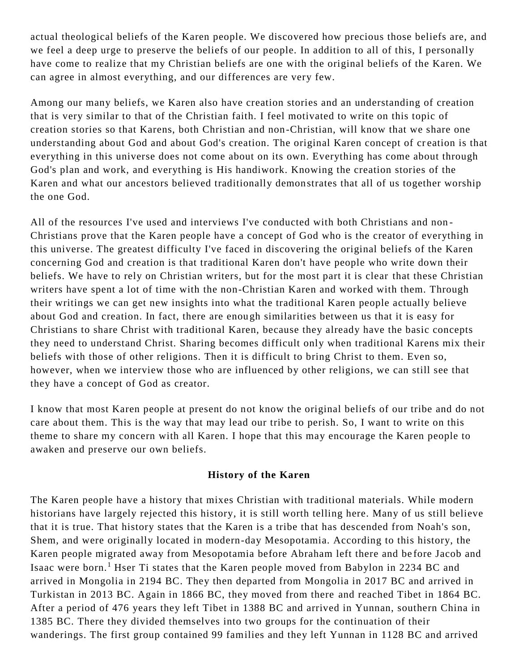actual theological beliefs of the Karen people. We discovered how precious those beliefs are, and we feel a deep urge to preserve the beliefs of our people. In addition to all of this, I personally have come to realize that my Christian beliefs are one with the original beliefs of the Karen. We can agree in almost everything, and our differences are very few.

Among our many beliefs, we Karen also have creation stories and an understanding of creation that is very similar to that of the Christian faith. I feel motivated to write on this topic of creation stories so that Karens, both Christian and non -Christian, will know that we share one understanding about God and about God's creation. The original Karen concept of creation is that everything in this universe does not come about on its own. Everything has come about through God's plan and work, and everything is His handiwork. Knowing the creation stories of the Karen and what our ancestors believed traditionally demonstrates that all of us together worship the one God.

All of the resources I've used and interviews I've conducted with both Christians and non - Christians prove that the Karen people have a concept of God who is the creator of everything in this universe. The greatest difficulty I've faced in discovering the original beliefs of the Karen concerning God and creation is that traditional Karen don't have people who write down their beliefs. We have to rely on Christian writers, but for the most part it is clear that these Christian writers have spent a lot of time with the non-Christian Karen and worked with them. Through their writings we can get new insights into what the traditional Karen people actually believe about God and creation. In fact, there are enough similarities between us that it is easy for Christians to share Christ with traditional Karen, because they already have the basic concepts they need to understand Christ. Sharing becomes difficult only when traditional Karens mix their beliefs with those of other religions. Then it is difficult to bring Christ to them. Even so, however, when we interview those who are influenced by other religions, we can still see that they have a concept of God as creator.

I know that most Karen people at present do not know the original beliefs of our tribe and do not care about them. This is the way that may lead our tribe to perish. So, I want to write on this theme to share my concern with all Karen. I hope that this may encourage the Karen people to awaken and preserve our own beliefs.

#### **History of the Karen**

The Karen people have a history that mixes Christian with traditional materials. While modern historians have largely rejected this history, it is still worth telling here. Many of us still believe that it is true. That history states that the Karen is a tribe that has descended from Noah's son, Shem, and were originally located in modern-day Mesopotamia. According to this history, the Karen people migrated away from Mesopotamia before Abraham left there and be fore Jacob and Isaac were born.<sup>1</sup> Hser Ti states that the Karen people moved from Babylon in 2234 BC and arrived in Mongolia in 2194 BC. They then departed from Mongolia in 2017 BC and arrived in Turkistan in 2013 BC. Again in 1866 BC, they moved from there and reached Tibet in 1864 BC. After a period of 476 years they left Tibet in 1388 BC and arrived in Yunnan, southern China in 1385 BC. There they divided themselves into two groups for the continuation of their wanderings. The first group contained 99 families and they left Yunnan in 1128 BC and arrived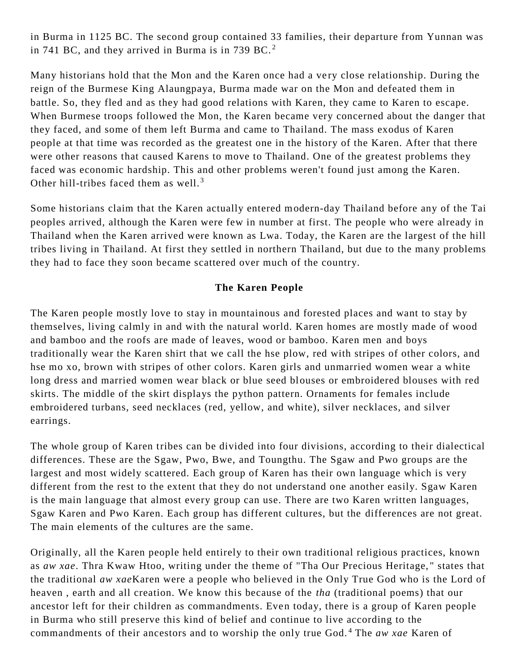in Burma in 1125 BC. The second group contained 33 families, their departure from Yunnan was in 741 BC, and they arrived in Burma is in 739 BC.<sup>2</sup>

Many historians hold that the Mon and the Karen once had a very close relationship. During the reign of the Burmese King Alaungpaya, Burma made war on the Mon and defeated them in battle. So, they fled and as they had good relations with Karen, they came to Karen to escape. When Burmese troops followed the Mon, the Karen became very concerned about the danger that they faced, and some of them left Burma and came to Thailand. The mass exodus of Karen people at that time was recorded as the greatest one in the history of the Karen. After that there were other reasons that caused Karens to move to Thailand. One of the greatest problems they faced was economic hardship. This and other problems weren't found just among the Karen. Other hill-tribes faced them as well.<sup>3</sup>

Some historians claim that the Karen actually entered modern-day Thailand before any of the Tai peoples arrived, although the Karen were few in number at first. The people who were already in Thailand when the Karen arrived were known as Lwa. Today, the Karen are the largest of the hill tribes living in Thailand. At first they settled in northern Thailand, but due to the many problems they had to face they soon became scattered over much of the country.

#### **The Karen People**

The Karen people mostly love to stay in mountainous and forested places and want to stay by themselves, living calmly in and with the natural world. Karen homes are mostly made of wood and bamboo and the roofs are made of leaves, wood or bamboo. Karen men and boys traditionally wear the Karen shirt that we call the hse plow, red with stripes of other colors, and hse mo xo, brown with stripes of other colors. Karen girls and unmarried women wear a white long dress and married women wear black or blue seed blouses or embroidered blouses with red skirts. The middle of the skirt displays the python pattern. Ornaments for females include embroidered turbans, seed necklaces (red, yellow, and white), silver necklaces, and silver earrings.

The whole group of Karen tribes can be divided into four divisions, according to their dialectical differences. These are the Sgaw, Pwo, Bwe, and Toungthu. The Sgaw and Pwo groups are the largest and most widely scattered. Each group of Karen has their own language which is very different from the rest to the extent that they do not understand one another easily. Sgaw Karen is the main language that almost every group can use. There are two Karen written languages, Sgaw Karen and Pwo Karen. Each group has different cultures, but the differences are not great. The main elements of the cultures are the same.

Originally, all the Karen people held entirely to their own traditional religious practices, known as *aw xae*. Thra Kwaw Htoo, writing under the theme of "Tha Our Precious Heritage, " states that the traditional *aw xae*Karen were a people who believed in the Only True God who is the Lord of heaven , earth and all creation. We know this because of the *tha* (traditional poems) that our ancestor left for their children as commandments. Even today, there is a group of Karen people in Burma who still preserve this kind of belief and continue to live according to the commandments of their ancestors and to worship the only true God. <sup>4</sup> The *aw xae* Karen of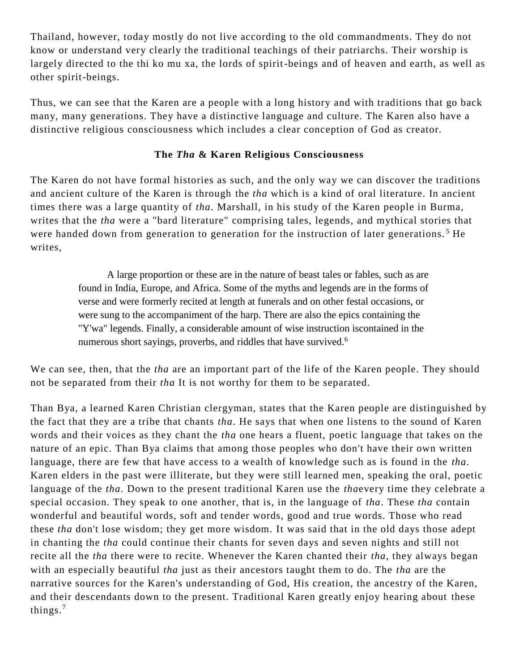Thailand, however, today mostly do not live according to the old commandments. They do not know or understand very clearly the traditional teachings of their patriarchs. Their worship is largely directed to the thi ko mu xa, the lords of spirit-beings and of heaven and earth, as well as other spirit-beings.

Thus, we can see that the Karen are a people with a long history and with traditions that go back many, many generations. They have a distinctive language and culture. The Karen also have a distinctive religious consciousness which includes a clear conception of God as creator.

#### **The** *Tha* **& Karen Religious Consciousness**

The Karen do not have formal histories as such, and the only way we can discover the traditions and ancient culture of the Karen is through the *tha* which is a kind of oral literature. In ancient times there was a large quantity of *tha*. Marshall, in his study of the Karen people in Burma, writes that the *tha* were a "bard literature" comprising tales, legends, and mythical stories that were handed down from generation to generation for the instruction of later generations.<sup>5</sup> He writes,

> A large proportion or these are in the nature of beast tales or fables, such as are found in India, Europe, and Africa. Some of the myths and legends are in the forms of verse and were formerly recited at length at funerals and on other festal occasions, or were sung to the accompaniment of the harp. There are also the epics containing the "Y'wa" legends. Finally, a considerable amount of wise instruction iscontained in the numerous short sayings, proverbs, and riddles that have survived.<sup>6</sup>

We can see, then, that the *tha* are an important part of the life of the Karen people. They should not be separated from their *tha* It is not worthy for them to be separated.

Than Bya, a learned Karen Christian clergyman, states that the Karen people are distinguished by the fact that they are a tribe that chants *tha*. He says that when one listens to the sound of Karen words and their voices as they chant the *tha* one hears a fluent, poetic language that takes on the nature of an epic. Than Bya claims that among those peoples who don't have their own written language, there are few that have access to a wealth of knowledge such as is found in the *tha*. Karen elders in the past were illiterate, but they were still learned men, speaking the oral, poetic language of the *tha*. Down to the present traditional Karen use the *tha*every time they celebrate a special occasion. They speak to one another, that is, in the language of *tha*. These *tha* contain wonderful and beautiful words, soft and tender words, good and true words. Those who read these *tha* don't lose wisdom; they get more wisdom. It was said that in the old days those adept in chanting the *tha* could continue their chants for seven days and seven nights and still not recite all the *tha* there were to recite. Whenever the Karen chanted their *tha*, they always began with an especially beautiful *tha* just as their ancestors taught them to do. The *tha* are the narrative sources for the Karen's understanding of God, His creation, the ancestry of the Karen, and their descendants down to the present. Traditional Karen greatly enjoy hearing about these things.<sup>7</sup>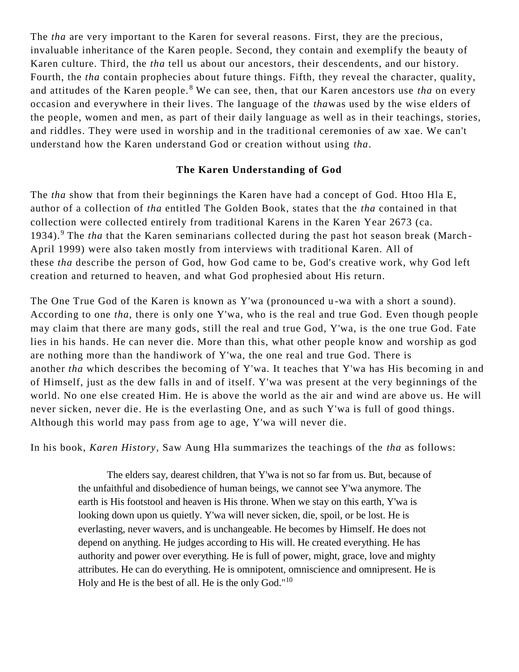The *tha* are very important to the Karen for several reasons. First, they are the precious, invaluable inheritance of the Karen people. Second, they contain and exemplify the beauty of Karen culture. Third, the *tha* tell us about our ancestors, their descendents, and our history. Fourth, the *tha* contain prophecies about future things. Fifth, they reveal the character, quality, and attitudes of the Karen people. <sup>8</sup> We can see, then, that our Karen ancestors use *tha* on every occasion and everywhere in their lives. The language of the *tha*was used by the wise elders of the people, women and men, as part of their daily language as well as in their teachings, stories, and riddles. They were used in worship and in the traditional ceremonies of aw xae. We can't understand how the Karen understand God or creation without using *tha*.

#### **The Karen Understanding of God**

The *tha* show that from their beginnings the Karen have had a concept of God. Htoo Hla E, author of a collection of *tha* entitled The Golden Book, states that the *tha* contained in that collection were collected entirely from traditional Karens in the Karen Year 2673 (ca. 1934).<sup>9</sup> The *tha* that the Karen seminarians collected during the past hot season break (March-April 1999) were also taken mostly from interviews with traditional Karen. All of these *tha* describe the person of God, how God came to be, God's creative work, why God left creation and returned to heaven, and what God prophesied about His return.

The One True God of the Karen is known as Y'wa (pronounced u-wa with a short a sound). According to one *tha*, there is only one Y'wa, who is the real and true God. Even though people may claim that there are many gods, still the real and true God, Y'wa, is the one true God. Fate lies in his hands. He can never die. More than this, what other people know and worship as god are nothing more than the handiwork of Y'wa, the one real and true God. There is another *tha* which describes the becoming of Y'wa. It teaches that Y'wa has His becoming in and of Himself, just as the dew falls in and of itself. Y'wa was present at the very beginnings of the world. No one else created Him. He is above the world as the air and wind are above us. He will never sicken, never die. He is the everlasting One, and as such Y'wa is full of good things. Although this world may pass from age to age, Y'wa will never die.

In his book, *Karen History*, Saw Aung Hla summarizes the teachings of the *tha* as follows:

The elders say, dearest children, that Y'wa is not so far from us. But, because of the unfaithful and disobedience of human beings, we cannot see Y'wa anymore. The earth is His footstool and heaven is His throne. When we stay on this earth, Y'wa is looking down upon us quietly. Y'wa will never sicken, die, spoil, or be lost. He is everlasting, never wavers, and is unchangeable. He becomes by Himself. He does not depend on anything. He judges according to His will. He created everything. He has authority and power over everything. He is full of power, might, grace, love and mighty attributes. He can do everything. He is omnipotent, omniscience and omnipresent. He is Holy and He is the best of all. He is the only God."<sup>10</sup>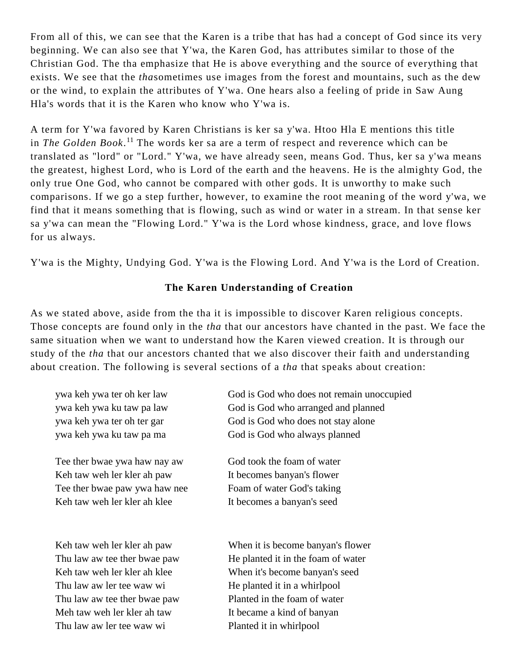From all of this, we can see that the Karen is a tribe that has had a concept of God since its very beginning. We can also see that Y'wa, the Karen God, has attributes similar to those of the Christian God. The tha emphasize that He is above everything and the source of everything that exists. We see that the *tha*sometimes use images from the forest and mountains, such as the dew or the wind, to explain the attributes of Y'wa. One hears also a feeling of pride in Saw Aung Hla's words that it is the Karen who know who Y'wa is.

A term for Y'wa favored by Karen Christians is ker sa y'wa. Htoo Hla E mentions this title in *The Golden Book*. <sup>11</sup> The words ker sa are a term of respect and reverence which can be translated as "lord" or "Lord." Y'wa, we have already seen, means God. Thus, ker sa y'wa means the greatest, highest Lord, who is Lord of the earth and the heavens. He is the almighty God, the only true One God, who cannot be compared with other gods. It is unworthy to make such comparisons. If we go a step further, however, to examine the root meanin g of the word y'wa, we find that it means something that is flowing, such as wind or water in a stream. In that sense ker sa y'wa can mean the "Flowing Lord." Y'wa is the Lord whose kindness, grace, and love flows for us always.

Y'wa is the Mighty, Undying God. Y'wa is the Flowing Lord. And Y'wa is the Lord of Creation.

#### **The Karen Understanding of Creation**

As we stated above, aside from the tha it is impossible to discover Karen religious concepts. Those concepts are found only in the *tha* that our ancestors have chanted in the past. We face the same situation when we want to understand how the Karen viewed creation. It is through our study of the *tha* that our ancestors chanted that we also discover their faith and understanding about creation. The following is several sections of a *tha* that speaks about creation:

| ywa keh ywa ter oh ker law |
|----------------------------|
| ywa keh ywa ku taw pa law  |
| ywa keh ywa ter oh ter gar |
| ywa keh ywa ku taw pa ma   |

Tee ther bwae ywa haw nay aw Keh taw weh ler kler ah paw Tee ther bwae paw ywa haw nee Keh taw weh ler kler ah klee

Keh taw weh ler kler ah paw Thu law aw tee ther bwae paw Keh taw weh ler kler ah klee Thu law aw ler tee waw wi Thu law aw tee ther bwae paw Meh taw weh ler kler ah taw Thu law aw ler tee waw wi

God is God who does not remain unoccupied God is God who arranged and planned God is God who does not stay alone God is God who always planned

God took the foam of water It becomes banyan's flower Foam of water God's taking It becomes a banyan's seed

When it is become banyan's flower He planted it in the foam of water When it's become banyan's seed He planted it in a whirlpool Planted in the foam of water It became a kind of banyan Planted it in whirlpool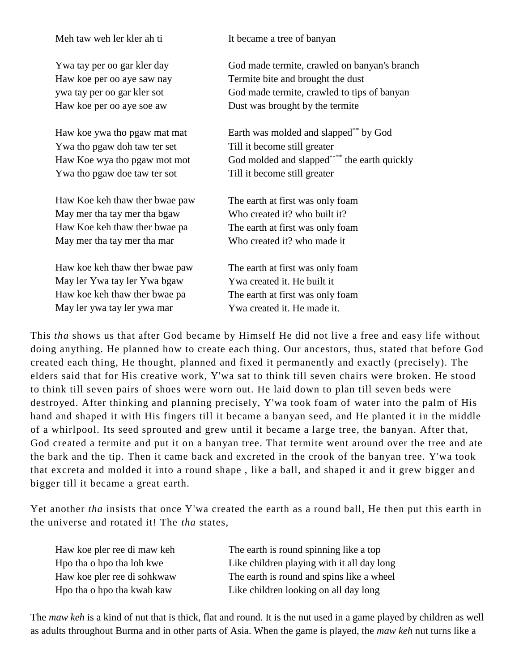Meh taw weh ler kler ah ti

Ywa tay per oo gar kler day Haw koe per oo aye saw nay ywa tay per oo gar kler sot Haw koe per oo aye soe aw

Haw koe ywa tho pgaw mat mat Ywa tho pgaw doh taw ter set Haw Koe wya tho pgaw mot mot Ywa tho pgaw doe taw ter sot

Haw Koe keh thaw ther bwae paw May mer tha tay mer tha bgaw Haw Koe keh thaw ther bwae pa May mer tha tay mer tha mar

Haw koe keh thaw ther bwae paw May ler Ywa tay ler Ywa bgaw Haw koe keh thaw ther bwae pa May ler ywa tay ler ywa mar

It became a tree of banyan

God made termite, crawled on banyan's branch Termite bite and brought the dust God made termite, crawled to tips of banyan Dust was brought by the termite

Earth was molded and slapped\*\* by God Till it become still greater God molded and slapped<sup>\*\*\*\*</sup> the earth quickly Till it become still greater

The earth at first was only foam Who created it? who built it? The earth at first was only foam Who created it? who made it

The earth at first was only foam Ywa created it. He built it The earth at first was only foam Ywa created it. He made it.

This *tha* shows us that after God became by Himself He did not live a free and easy life without doing anything. He planned how to create each thing. Our ancestors, thus, stated that before God created each thing, He thought, planned and fixed it permanently and exactly (precisely). The elders said that for His creative work, Y'wa sat to think till seven chairs were broken. He stood to think till seven pairs of shoes were worn out. He laid down to plan till seven beds were destroyed. After thinking and planning precisely, Y'wa took foam of water into the palm of His hand and shaped it with His fingers till it became a banyan seed, and He planted it in the middle of a whirlpool. Its seed sprouted and grew until it became a large tree, the banyan. After that, God created a termite and put it on a banyan tree. That termite went around over the tree and ate the bark and the tip. Then it came back and excreted in the crook of the banyan tree. Y'wa took that excreta and molded it into a round shape , like a ball, and shaped it and it grew bigger an d bigger till it became a great earth.

Yet another *tha* insists that once Y'wa created the earth as a round ball, He then put this earth in the universe and rotated it! The *tha* states,

| Haw koe pler ree di maw keh | The earth is  |
|-----------------------------|---------------|
| Hpo tha o hpo tha loh kwe   | Like childrei |
| Haw koe pler ree di sohkwaw | The earth is  |
| Hpo tha o hpo tha kwah kaw  | Like children |

round spinning like a top n playing with it all day long round and spins like a wheel n looking on all day long

The *maw keh* is a kind of nut that is thick, flat and round. It is the nut used in a game played by children as well as adults throughout Burma and in other parts of Asia. When the game is played, the *maw keh* nut turns like a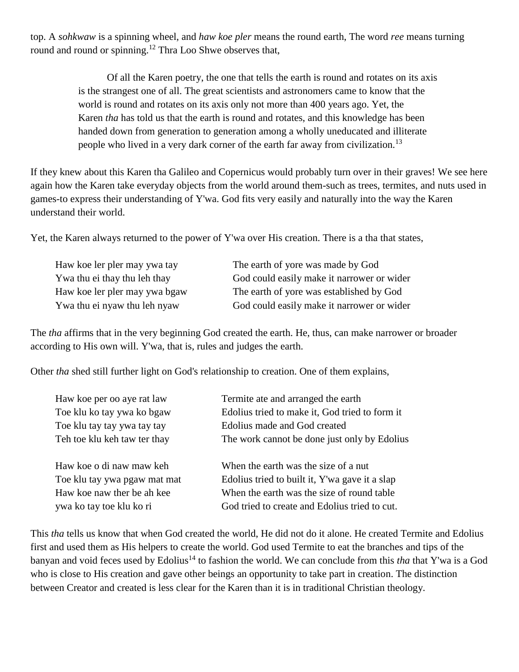top. A *sohkwaw* is a spinning wheel, and *haw koe pler* means the round earth, The word *ree* means turning round and round or spinning.<sup>12</sup> Thra Loo Shwe observes that,

> Of all the Karen poetry, the one that tells the earth is round and rotates on its axis is the strangest one of all. The great scientists and astronomers came to know that the world is round and rotates on its axis only not more than 400 years ago. Yet, the Karen *tha* has told us that the earth is round and rotates, and this knowledge has been handed down from generation to generation among a wholly uneducated and illiterate people who lived in a very dark corner of the earth far away from civilization.<sup>13</sup>

If they knew about this Karen tha Galileo and Copernicus would probably turn over in their graves! We see here again how the Karen take everyday objects from the world around them-such as trees, termites, and nuts used in games-to express their understanding of Y'wa. God fits very easily and naturally into the way the Karen understand their world.

Yet, the Karen always returned to the power of Y'wa over His creation. There is a tha that states,

| Haw koe ler pler may ywa tay  | The earth of yore was made by God          |
|-------------------------------|--------------------------------------------|
| Ywa thu ei thay thu leh thay  | God could easily make it narrower or wider |
| Haw koe ler pler may ywa bgaw | The earth of yore was established by God   |
| Ywa thu ei nyaw thu leh nyaw  | God could easily make it narrower or wider |

The *tha* affirms that in the very beginning God created the earth. He, thus, can make narrower or broader according to His own will. Y'wa, that is, rules and judges the earth.

Other *tha* shed still further light on God's relationship to creation. One of them explains,

| Haw koe per oo aye rat law   | Termite ate and arranged the earth             |
|------------------------------|------------------------------------------------|
| Toe klu ko tay ywa ko bgaw   | Edolius tried to make it, God tried to form it |
| Toe klu tay tay ywa tay tay  | Edolius made and God created                   |
| Teh toe klu keh taw ter thay | The work cannot be done just only by Edolius   |
| Haw koe o di naw maw keh     | When the earth was the size of a nut           |
| Toe klu tay ywa pgaw mat mat | Edolius tried to built it, Y'wa gave it a slap |
| Haw koe naw ther be ah kee   | When the earth was the size of round table     |
| ywa ko tay toe klu ko ri     | God tried to create and Edolius tried to cut.  |

This *tha* tells us know that when God created the world, He did not do it alone. He created Termite and Edolius first and used them as His helpers to create the world. God used Termite to eat the branches and tips of the banyan and void feces used by Edolius<sup>14</sup> to fashion the world. We can conclude from this *tha* that Y'wa is a God who is close to His creation and gave other beings an opportunity to take part in creation. The distinction between Creator and created is less clear for the Karen than it is in traditional Christian theology.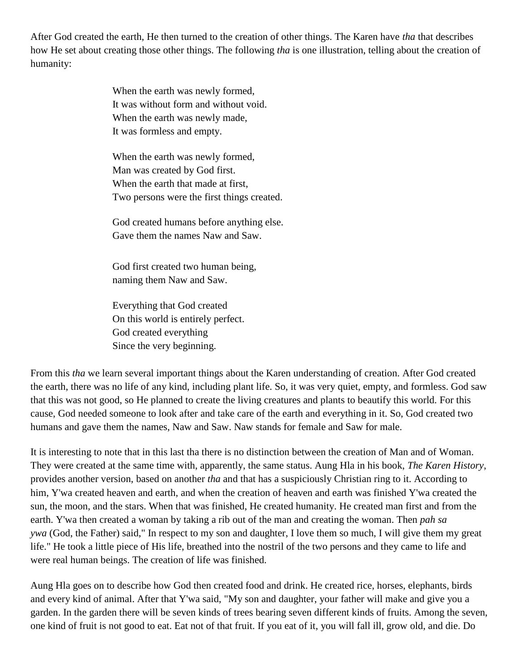After God created the earth, He then turned to the creation of other things. The Karen have *tha* that describes how He set about creating those other things. The following *tha* is one illustration, telling about the creation of humanity:

> When the earth was newly formed, It was without form and without void. When the earth was newly made. It was formless and empty.

When the earth was newly formed, Man was created by God first. When the earth that made at first, Two persons were the first things created.

God created humans before anything else. Gave them the names Naw and Saw.

God first created two human being, naming them Naw and Saw.

Everything that God created On this world is entirely perfect. God created everything Since the very beginning.

From this *tha* we learn several important things about the Karen understanding of creation. After God created the earth, there was no life of any kind, including plant life. So, it was very quiet, empty, and formless. God saw that this was not good, so He planned to create the living creatures and plants to beautify this world. For this cause, God needed someone to look after and take care of the earth and everything in it. So, God created two humans and gave them the names, Naw and Saw. Naw stands for female and Saw for male.

It is interesting to note that in this last tha there is no distinction between the creation of Man and of Woman. They were created at the same time with, apparently, the same status. Aung Hla in his book, *The Karen History*, provides another version, based on another *tha* and that has a suspiciously Christian ring to it. According to him, Y'wa created heaven and earth, and when the creation of heaven and earth was finished Y'wa created the sun, the moon, and the stars. When that was finished, He created humanity. He created man first and from the earth. Y'wa then created a woman by taking a rib out of the man and creating the woman. Then *pah sa ywa* (God, the Father) said," In respect to my son and daughter, I love them so much, I will give them my great life." He took a little piece of His life, breathed into the nostril of the two persons and they came to life and were real human beings. The creation of life was finished.

Aung Hla goes on to describe how God then created food and drink. He created rice, horses, elephants, birds and every kind of animal. After that Y'wa said, "My son and daughter, your father will make and give you a garden. In the garden there will be seven kinds of trees bearing seven different kinds of fruits. Among the seven, one kind of fruit is not good to eat. Eat not of that fruit. If you eat of it, you will fall ill, grow old, and die. Do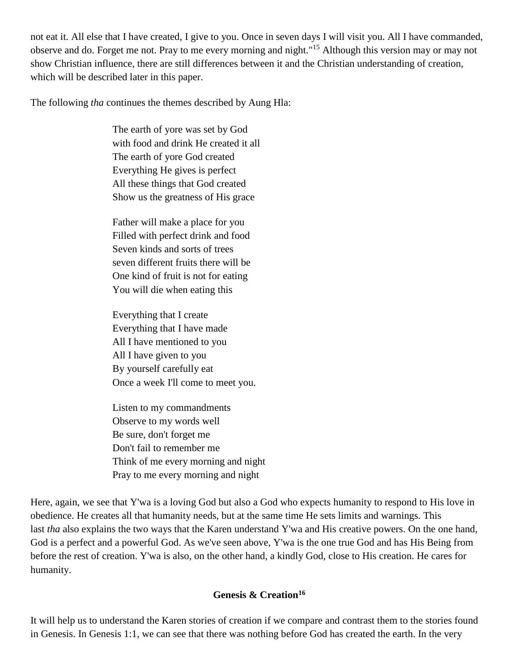not eat it. All else that I have created, I give to you. Once in seven days I will visit you. All I have commanded, observe and do. Forget me not. Pray to me every morning and night."<sup>15</sup> Although this version may or may not show Christian influence, there are still differences between it and the Christian understanding of creation, which will be described later in this paper.

The following *tha* continues the themes described by Aung Hla:

The earth of yore was set by God with food and drink He created it all The earth of yore God created Everything He gives is perfect All these things that God created Show us the greatness of His grace

Father will make a place for you Filled with perfect drink and food Seven kinds and sorts of trees seven different fruits there will be One kind of fruit is not for eating You will die when eating this

Everything that I create Everything that I have made All I have mentioned to you All I have given to you By yourself carefully eat Once a week I'll come to meet you.

Listen to my commandments Observe to my words well Be sure, don't forget me Don't fail to remember me Think of me every morning and night Pray to me every morning and night

Here, again, we see that Y'wa is a loving God but also a God who expects humanity to respond to His love in obedience. He creates all that humanity needs, but at the same time He sets limits and warnings. This last *tha* also explains the two ways that the Karen understand Y'wa and His creative powers. On the one hand, God is a perfect and a powerful God. As we've seen above, Y'wa is the one true God and has His Being from before the rest of creation. Y'wa is also, on the other hand, a kindly God, close to His creation. He cares for humanity.

#### **Genesis & Creation<sup>16</sup>**

It will help us to understand the Karen stories of creation if we compare and contrast them to the stories found in Genesis. In Genesis 1:1, we can see that there was nothing before God has created the earth. In the very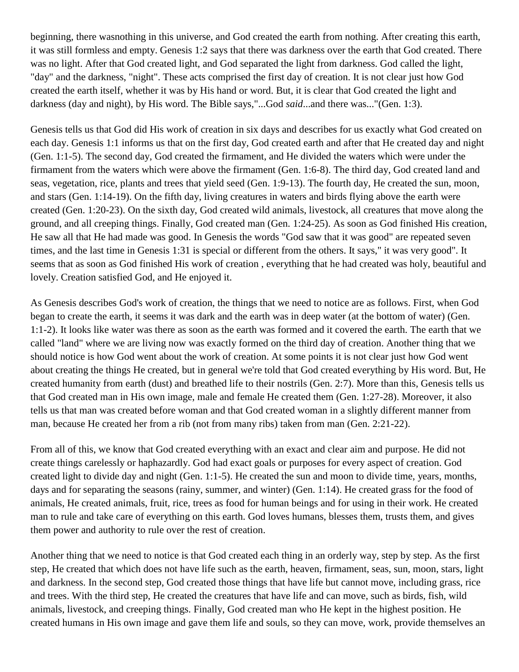beginning, there wasnothing in this universe, and God created the earth from nothing. After creating this earth, it was still formless and empty. Genesis 1:2 says that there was darkness over the earth that God created. There was no light. After that God created light, and God separated the light from darkness. God called the light, "day" and the darkness, "night". These acts comprised the first day of creation. It is not clear just how God created the earth itself, whether it was by His hand or word. But, it is clear that God created the light and darkness (day and night), by His word. The Bible says,"...God *said*...and there was..."(Gen. 1:3).

Genesis tells us that God did His work of creation in six days and describes for us exactly what God created on each day. Genesis 1:1 informs us that on the first day, God created earth and after that He created day and night (Gen. 1:1-5). The second day, God created the firmament, and He divided the waters which were under the firmament from the waters which were above the firmament (Gen. 1:6-8). The third day, God created land and seas, vegetation, rice, plants and trees that yield seed (Gen. 1:9-13). The fourth day, He created the sun, moon, and stars (Gen. 1:14-19). On the fifth day, living creatures in waters and birds flying above the earth were created (Gen. 1:20-23). On the sixth day, God created wild animals, livestock, all creatures that move along the ground, and all creeping things. Finally, God created man (Gen. 1:24-25). As soon as God finished His creation, He saw all that He had made was good. In Genesis the words "God saw that it was good" are repeated seven times, and the last time in Genesis 1:31 is special or different from the others. It says," it was very good". It seems that as soon as God finished His work of creation , everything that he had created was holy, beautiful and lovely. Creation satisfied God, and He enjoyed it.

As Genesis describes God's work of creation, the things that we need to notice are as follows. First, when God began to create the earth, it seems it was dark and the earth was in deep water (at the bottom of water) (Gen. 1:1-2). It looks like water was there as soon as the earth was formed and it covered the earth. The earth that we called "land" where we are living now was exactly formed on the third day of creation. Another thing that we should notice is how God went about the work of creation. At some points it is not clear just how God went about creating the things He created, but in general we're told that God created everything by His word. But, He created humanity from earth (dust) and breathed life to their nostrils (Gen. 2:7). More than this, Genesis tells us that God created man in His own image, male and female He created them (Gen. 1:27-28). Moreover, it also tells us that man was created before woman and that God created woman in a slightly different manner from man, because He created her from a rib (not from many ribs) taken from man (Gen. 2:21-22).

From all of this, we know that God created everything with an exact and clear aim and purpose. He did not create things carelessly or haphazardly. God had exact goals or purposes for every aspect of creation. God created light to divide day and night (Gen. 1:1-5). He created the sun and moon to divide time, years, months, days and for separating the seasons (rainy, summer, and winter) (Gen. 1:14). He created grass for the food of animals, He created animals, fruit, rice, trees as food for human beings and for using in their work. He created man to rule and take care of everything on this earth. God loves humans, blesses them, trusts them, and gives them power and authority to rule over the rest of creation.

Another thing that we need to notice is that God created each thing in an orderly way, step by step. As the first step, He created that which does not have life such as the earth, heaven, firmament, seas, sun, moon, stars, light and darkness. In the second step, God created those things that have life but cannot move, including grass, rice and trees. With the third step, He created the creatures that have life and can move, such as birds, fish, wild animals, livestock, and creeping things. Finally, God created man who He kept in the highest position. He created humans in His own image and gave them life and souls, so they can move, work, provide themselves an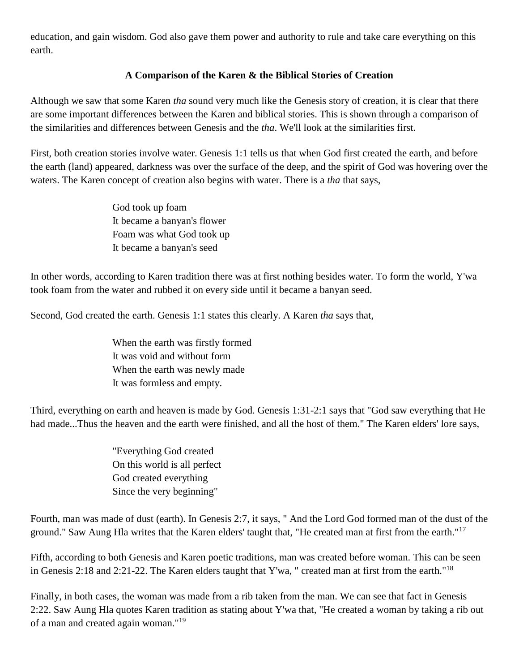education, and gain wisdom. God also gave them power and authority to rule and take care everything on this earth.

#### **A Comparison of the Karen & the Biblical Stories of Creation**

Although we saw that some Karen *tha* sound very much like the Genesis story of creation, it is clear that there are some important differences between the Karen and biblical stories. This is shown through a comparison of the similarities and differences between Genesis and the *tha*. We'll look at the similarities first.

First, both creation stories involve water. Genesis 1:1 tells us that when God first created the earth, and before the earth (land) appeared, darkness was over the surface of the deep, and the spirit of God was hovering over the waters. The Karen concept of creation also begins with water. There is a *tha* that says,

> God took up foam It became a banyan's flower Foam was what God took up It became a banyan's seed

In other words, according to Karen tradition there was at first nothing besides water. To form the world, Y'wa took foam from the water and rubbed it on every side until it became a banyan seed.

Second, God created the earth. Genesis 1:1 states this clearly. A Karen *tha* says that,

When the earth was firstly formed It was void and without form When the earth was newly made It was formless and empty.

Third, everything on earth and heaven is made by God. Genesis 1:31-2:1 says that "God saw everything that He had made...Thus the heaven and the earth were finished, and all the host of them." The Karen elders' lore says,

> "Everything God created On this world is all perfect God created everything Since the very beginning"

Fourth, man was made of dust (earth). In Genesis 2:7, it says, " And the Lord God formed man of the dust of the ground." Saw Aung Hla writes that the Karen elders' taught that, "He created man at first from the earth."<sup>17</sup>

Fifth, according to both Genesis and Karen poetic traditions, man was created before woman. This can be seen in Genesis 2:18 and 2:21-22. The Karen elders taught that Y'wa, " created man at first from the earth."<sup>18</sup>

Finally, in both cases, the woman was made from a rib taken from the man. We can see that fact in Genesis 2:22. Saw Aung Hla quotes Karen tradition as stating about Y'wa that, "He created a woman by taking a rib out of a man and created again woman."<sup>19</sup>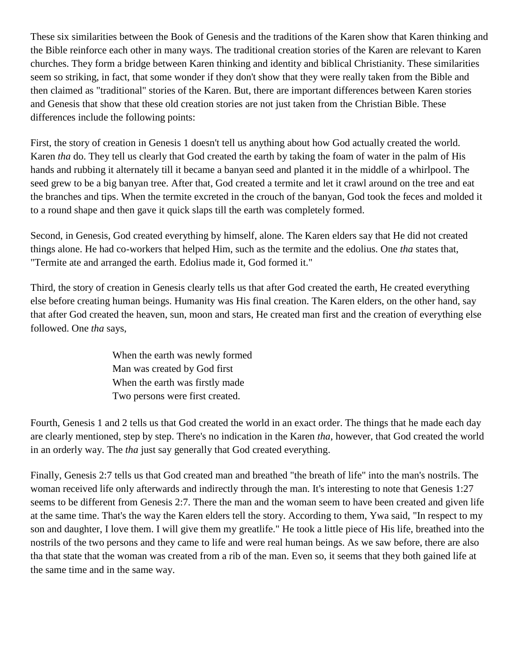These six similarities between the Book of Genesis and the traditions of the Karen show that Karen thinking and the Bible reinforce each other in many ways. The traditional creation stories of the Karen are relevant to Karen churches. They form a bridge between Karen thinking and identity and biblical Christianity. These similarities seem so striking, in fact, that some wonder if they don't show that they were really taken from the Bible and then claimed as "traditional" stories of the Karen. But, there are important differences between Karen stories and Genesis that show that these old creation stories are not just taken from the Christian Bible. These differences include the following points:

First, the story of creation in Genesis 1 doesn't tell us anything about how God actually created the world. Karen *tha* do. They tell us clearly that God created the earth by taking the foam of water in the palm of His hands and rubbing it alternately till it became a banyan seed and planted it in the middle of a whirlpool. The seed grew to be a big banyan tree. After that, God created a termite and let it crawl around on the tree and eat the branches and tips. When the termite excreted in the crouch of the banyan, God took the feces and molded it to a round shape and then gave it quick slaps till the earth was completely formed.

Second, in Genesis, God created everything by himself, alone. The Karen elders say that He did not created things alone. He had co-workers that helped Him, such as the termite and the edolius. One *tha* states that, "Termite ate and arranged the earth. Edolius made it, God formed it."

Third, the story of creation in Genesis clearly tells us that after God created the earth, He created everything else before creating human beings. Humanity was His final creation. The Karen elders, on the other hand, say that after God created the heaven, sun, moon and stars, He created man first and the creation of everything else followed. One *tha* says,

> When the earth was newly formed Man was created by God first When the earth was firstly made Two persons were first created.

Fourth, Genesis 1 and 2 tells us that God created the world in an exact order. The things that he made each day are clearly mentioned, step by step. There's no indication in the Karen *tha*, however, that God created the world in an orderly way. The *tha* just say generally that God created everything.

Finally, Genesis 2:7 tells us that God created man and breathed "the breath of life" into the man's nostrils. The woman received life only afterwards and indirectly through the man. It's interesting to note that Genesis 1:27 seems to be different from Genesis 2:7. There the man and the woman seem to have been created and given life at the same time. That's the way the Karen elders tell the story. According to them, Ywa said, "In respect to my son and daughter, I love them. I will give them my greatlife." He took a little piece of His life, breathed into the nostrils of the two persons and they came to life and were real human beings. As we saw before, there are also tha that state that the woman was created from a rib of the man. Even so, it seems that they both gained life at the same time and in the same way.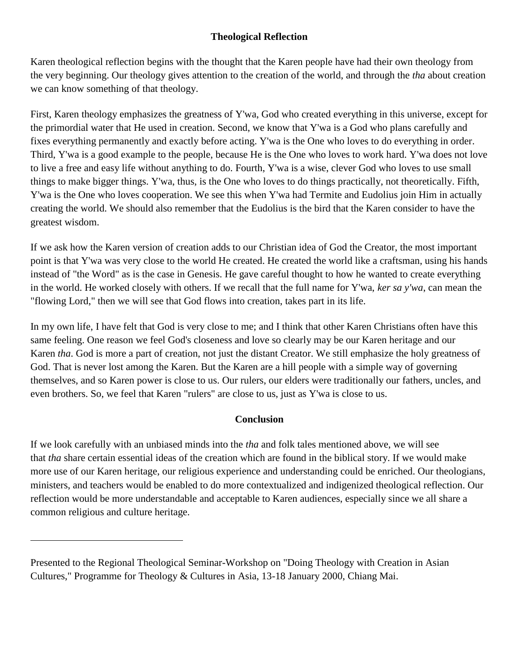#### **Theological Reflection**

Karen theological reflection begins with the thought that the Karen people have had their own theology from the very beginning. Our theology gives attention to the creation of the world, and through the *tha* about creation we can know something of that theology.

First, Karen theology emphasizes the greatness of Y'wa, God who created everything in this universe, except for the primordial water that He used in creation. Second, we know that Y'wa is a God who plans carefully and fixes everything permanently and exactly before acting. Y'wa is the One who loves to do everything in order. Third, Y'wa is a good example to the people, because He is the One who loves to work hard. Y'wa does not love to live a free and easy life without anything to do. Fourth, Y'wa is a wise, clever God who loves to use small things to make bigger things. Y'wa, thus, is the One who loves to do things practically, not theoretically. Fifth, Y'wa is the One who loves cooperation. We see this when Y'wa had Termite and Eudolius join Him in actually creating the world. We should also remember that the Eudolius is the bird that the Karen consider to have the greatest wisdom.

If we ask how the Karen version of creation adds to our Christian idea of God the Creator, the most important point is that Y'wa was very close to the world He created. He created the world like a craftsman, using his hands instead of "the Word" as is the case in Genesis. He gave careful thought to how he wanted to create everything in the world. He worked closely with others. If we recall that the full name for Y'wa, *ker sa y'wa*, can mean the "flowing Lord," then we will see that God flows into creation, takes part in its life.

In my own life, I have felt that God is very close to me; and I think that other Karen Christians often have this same feeling. One reason we feel God's closeness and love so clearly may be our Karen heritage and our Karen *tha*. God is more a part of creation, not just the distant Creator. We still emphasize the holy greatness of God. That is never lost among the Karen. But the Karen are a hill people with a simple way of governing themselves, and so Karen power is close to us. Our rulers, our elders were traditionally our fathers, uncles, and even brothers. So, we feel that Karen "rulers" are close to us, just as Y'wa is close to us.

#### **Conclusion**

If we look carefully with an unbiased minds into the *tha* and folk tales mentioned above, we will see that *tha* share certain essential ideas of the creation which are found in the biblical story. If we would make more use of our Karen heritage, our religious experience and understanding could be enriched. Our theologians, ministers, and teachers would be enabled to do more contextualized and indigenized theological reflection. Our reflection would be more understandable and acceptable to Karen audiences, especially since we all share a common religious and culture heritage.

Presented to the Regional Theological Seminar-Workshop on "Doing Theology with Creation in Asian Cultures," Programme for Theology & Cultures in Asia, 13-18 January 2000, Chiang Mai.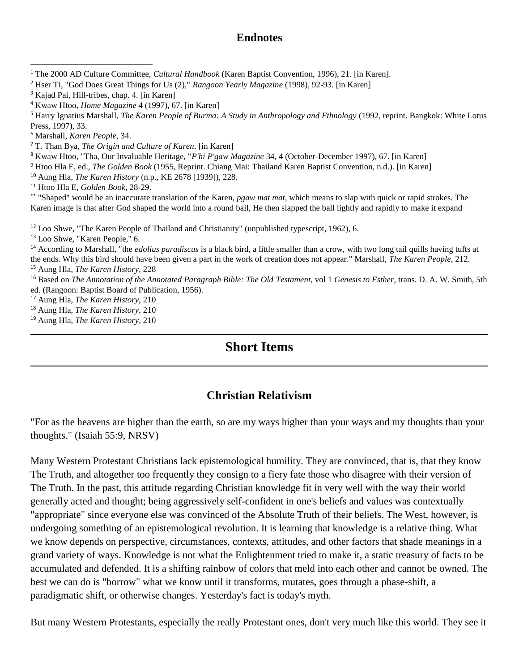#### **Endnotes**

<sup>4</sup> Kwaw Htoo, *Home Magazine* 4 (1997), 67. [in Karen]

<sup>5</sup> Harry Ignatius Marshall, *The Karen People of Burma: A Study in Anthropology and Ethnology* (1992, reprint. Bangkok: White Lotus Press, 1997), 33.

<sup>6</sup> Marshall, *Karen People*, 34.

 $\overline{\phantom{a}}$ 

<sup>7</sup> T. Than Bya, *The Origin and Culture of Karen*. [in Karen]

<sup>8</sup> Kwaw Htoo, "Tha, Our Invaluable Heritage, "*P'hi P'gaw Magazine* 34, 4 (October-December 1997), 67. [in Karen]

<sup>9</sup> Htoo Hla E, ed., *The Golden Book* (1955, Reprint. Chiang Mai: Thailand Karen Baptist Convention, n.d.). [in Karen]

<sup>10</sup> Aung Hla, *The Karen History* (n.p., KE 2678 [1939]), 228.

<sup>11</sup> Htoo Hla E, *Golden Book*, 28-29.

\*\* "Shaped" would be an inaccurate translation of the Karen, *pgaw mat mat,* which means to slap with quick or rapid strokes. The Karen image is that after God shaped the world into a round ball, He then slapped the ball lightly and rapidly to make it expand

<sup>12</sup> Loo Shwe, "The Karen People of Thailand and Christianity" (unpublished typescript, 1962), 6.

<sup>13</sup> Loo Shwe, "Karen People," 6.

<sup>14</sup> According to Marshall, "the *edolius paradiscus* is a black bird, a little smaller than a crow, with two long tail quills having tufts at the ends. Why this bird should have been given a part in the work of creation does not appear." Marshall, *The Karen People*, 212. <sup>15</sup> Aung Hla, *The Karen History*, 228

<sup>16</sup> Based on *The Annotation of the Annotated Paragraph Bible: The Old Testament,* vol 1 *Genesis to Esther*, trans. D. A. W. Smith, 5th ed. (Rangoon: Baptist Board of Publication, 1956).

<sup>17</sup> Aung Hla, *The Karen History*, 210

<sup>18</sup> Aung Hla, *The Karen History*, 210

<sup>19</sup> Aung Hla, *The Karen History*, 210

# **Short Items**

## **Christian Relativism**

<span id="page-21-0"></span>"For as the heavens are higher than the earth, so are my ways higher than your ways and my thoughts than your thoughts." (Isaiah 55:9, NRSV)

Many Western Protestant Christians lack epistemological humility. They are convinced, that is, that they know The Truth, and altogether too frequently they consign to a fiery fate those who disagree with their version of The Truth. In the past, this attitude regarding Christian knowledge fit in very well with the way their world generally acted and thought; being aggressively self-confident in one's beliefs and values was contextually "appropriate" since everyone else was convinced of the Absolute Truth of their beliefs. The West, however, is undergoing something of an epistemological revolution. It is learning that knowledge is a relative thing. What we know depends on perspective, circumstances, contexts, attitudes, and other factors that shade meanings in a grand variety of ways. Knowledge is not what the Enlightenment tried to make it, a static treasury of facts to be accumulated and defended. It is a shifting rainbow of colors that meld into each other and cannot be owned. The best we can do is "borrow" what we know until it transforms, mutates, goes through a phase-shift, a paradigmatic shift, or otherwise changes. Yesterday's fact is today's myth.

But many Western Protestants, especially the really Protestant ones, don't very much like this world. They see it

<sup>1</sup> The 2000 AD Culture Committee, *Cultural Handbook* (Karen Baptist Convention, 1996), 21. [in Karen].

<sup>2</sup> Hser Ti, "God Does Great Things for Us (2)," *Rangoon Yearly Magazine* (1998), 92-93. [in Karen]

<sup>&</sup>lt;sup>3</sup> Kajad Pai, Hill-tribes, chap. 4. [in Karen]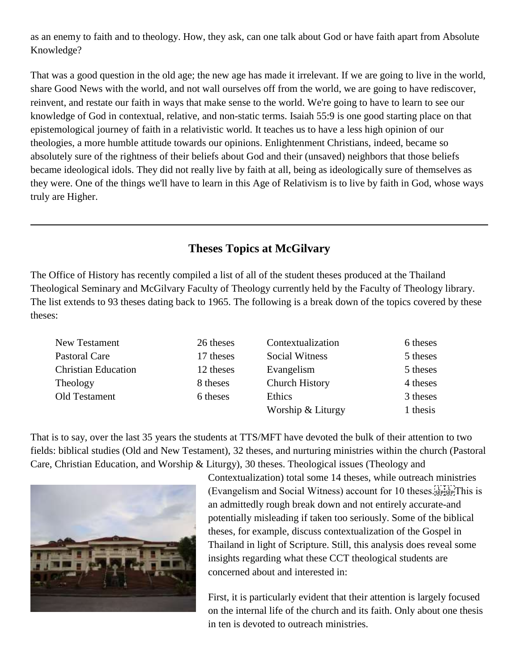as an enemy to faith and to theology. How, they ask, can one talk about God or have faith apart from Absolute Knowledge?

That was a good question in the old age; the new age has made it irrelevant. If we are going to live in the world, share Good News with the world, and not wall ourselves off from the world, we are going to have rediscover, reinvent, and restate our faith in ways that make sense to the world. We're going to have to learn to see our knowledge of God in contextual, relative, and non-static terms. Isaiah 55:9 is one good starting place on that epistemological journey of faith in a relativistic world. It teaches us to have a less high opinion of our theologies, a more humble attitude towards our opinions. Enlightenment Christians, indeed, became so absolutely sure of the rightness of their beliefs about God and their (unsaved) neighbors that those beliefs became ideological idols. They did not really live by faith at all, being as ideologically sure of themselves as they were. One of the things we'll have to learn in this Age of Relativism is to live by faith in God, whose ways truly are Higher.

## **Theses Topics at McGilvary**

<span id="page-22-0"></span>The Office of History has recently compiled a list of all of the student theses produced at the Thailand Theological Seminary and McGilvary Faculty of Theology currently held by the Faculty of Theology library. The list extends to 93 theses dating back to 1965. The following is a break down of the topics covered by these theses:

| New Testament              | 26 theses | Contextualization     | 6 theses |
|----------------------------|-----------|-----------------------|----------|
| Pastoral Care              | 17 theses | <b>Social Witness</b> | 5 theses |
| <b>Christian Education</b> | 12 theses | Evangelism            | 5 theses |
| Theology                   | 8 theses  | <b>Church History</b> | 4 theses |
| Old Testament              | 6 theses  | Ethics                | 3 theses |
|                            |           | Worship & Liturgy     | 1 thesis |

That is to say, over the last 35 years the students at TTS/MFT have devoted the bulk of their attention to two fields: biblical studies (Old and New Testament), 32 theses, and nurturing ministries within the church (Pastoral Care, Christian Education, and Worship & Liturgy), 30 theses. Theological issues (Theology and



Contextualization) total some 14 theses, while outreach ministries (Evangelism and Social Witness) account for 10 theses.  $E_{\text{SPP}}$ . This is an admittedly rough break down and not entirely accurate-and potentially misleading if taken too seriously. Some of the biblical theses, for example, discuss contextualization of the Gospel in Thailand in light of Scripture. Still, this analysis does reveal some insights regarding what these CCT theological students are concerned about and interested in:

First, it is particularly evident that their attention is largely focused on the internal life of the church and its faith. Only about one thesis in ten is devoted to outreach ministries.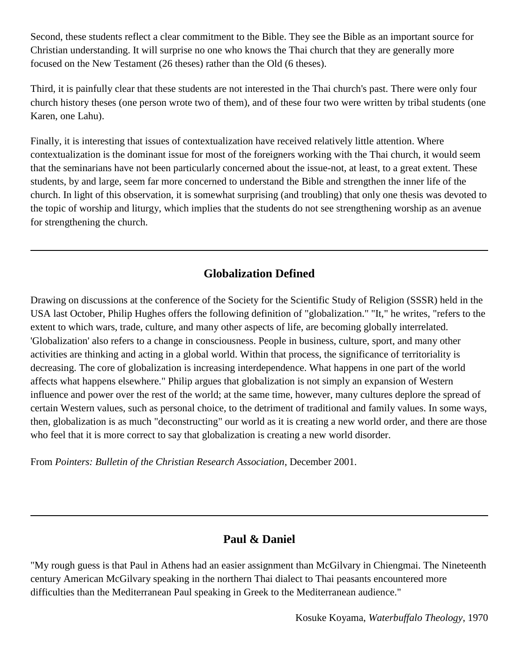Second, these students reflect a clear commitment to the Bible. They see the Bible as an important source for Christian understanding. It will surprise no one who knows the Thai church that they are generally more focused on the New Testament (26 theses) rather than the Old (6 theses).

Third, it is painfully clear that these students are not interested in the Thai church's past. There were only four church history theses (one person wrote two of them), and of these four two were written by tribal students (one Karen, one Lahu).

Finally, it is interesting that issues of contextualization have received relatively little attention. Where contextualization is the dominant issue for most of the foreigners working with the Thai church, it would seem that the seminarians have not been particularly concerned about the issue-not, at least, to a great extent. These students, by and large, seem far more concerned to understand the Bible and strengthen the inner life of the church. In light of this observation, it is somewhat surprising (and troubling) that only one thesis was devoted to the topic of worship and liturgy, which implies that the students do not see strengthening worship as an avenue for strengthening the church.

## **Globalization Defined**

<span id="page-23-0"></span>Drawing on discussions at the conference of the Society for the Scientific Study of Religion (SSSR) held in the USA last October, Philip Hughes offers the following definition of "globalization." "It," he writes, "refers to the extent to which wars, trade, culture, and many other aspects of life, are becoming globally interrelated. 'Globalization' also refers to a change in consciousness. People in business, culture, sport, and many other activities are thinking and acting in a global world. Within that process, the significance of territoriality is decreasing. The core of globalization is increasing interdependence. What happens in one part of the world affects what happens elsewhere." Philip argues that globalization is not simply an expansion of Western influence and power over the rest of the world; at the same time, however, many cultures deplore the spread of certain Western values, such as personal choice, to the detriment of traditional and family values. In some ways, then, globalization is as much "deconstructing" our world as it is creating a new world order, and there are those who feel that it is more correct to say that globalization is creating a new world disorder.

From *Pointers: Bulletin of the Christian Research Association*, December 2001.

#### **Paul & Daniel**

<span id="page-23-1"></span>"My rough guess is that Paul in Athens had an easier assignment than McGilvary in Chiengmai. The Nineteenth century American McGilvary speaking in the northern Thai dialect to Thai peasants encountered more difficulties than the Mediterranean Paul speaking in Greek to the Mediterranean audience."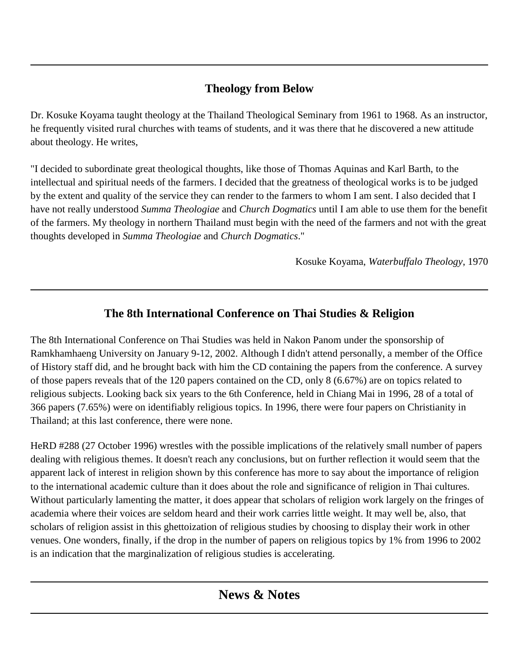# **Theology from Below**

<span id="page-24-0"></span>Dr. Kosuke Koyama taught theology at the Thailand Theological Seminary from 1961 to 1968. As an instructor, he frequently visited rural churches with teams of students, and it was there that he discovered a new attitude about theology. He writes,

"I decided to subordinate great theological thoughts, like those of Thomas Aquinas and Karl Barth, to the intellectual and spiritual needs of the farmers. I decided that the greatness of theological works is to be judged by the extent and quality of the service they can render to the farmers to whom I am sent. I also decided that I have not really understood *Summa Theologiae* and *Church Dogmatics* until I am able to use them for the benefit of the farmers. My theology in northern Thailand must begin with the need of the farmers and not with the great thoughts developed in *Summa Theologiae* and *Church Dogmatics*."

Kosuke Koyama, *Waterbuffalo Theology*, 1970

# **The 8th International Conference on Thai Studies & Religion**

<span id="page-24-1"></span>The 8th International Conference on Thai Studies was held in Nakon Panom under the sponsorship of Ramkhamhaeng University on January 9-12, 2002. Although I didn't attend personally, a member of the Office of History staff did, and he brought back with him the CD containing the papers from the conference. A survey of those papers reveals that of the 120 papers contained on the CD, only 8 (6.67%) are on topics related to religious subjects. Looking back six years to the 6th Conference, held in Chiang Mai in 1996, 28 of a total of 366 papers (7.65%) were on identifiably religious topics. In 1996, there were four papers on Christianity in Thailand; at this last conference, there were none.

HeRD #288 (27 October 1996) wrestles with the possible implications of the relatively small number of papers dealing with religious themes. It doesn't reach any conclusions, but on further reflection it would seem that the apparent lack of interest in religion shown by this conference has more to say about the importance of religion to the international academic culture than it does about the role and significance of religion in Thai cultures. Without particularly lamenting the matter, it does appear that scholars of religion work largely on the fringes of academia where their voices are seldom heard and their work carries little weight. It may well be, also, that scholars of religion assist in this ghettoization of religious studies by choosing to display their work in other venues. One wonders, finally, if the drop in the number of papers on religious topics by 1% from 1996 to 2002 is an indication that the marginalization of religious studies is accelerating.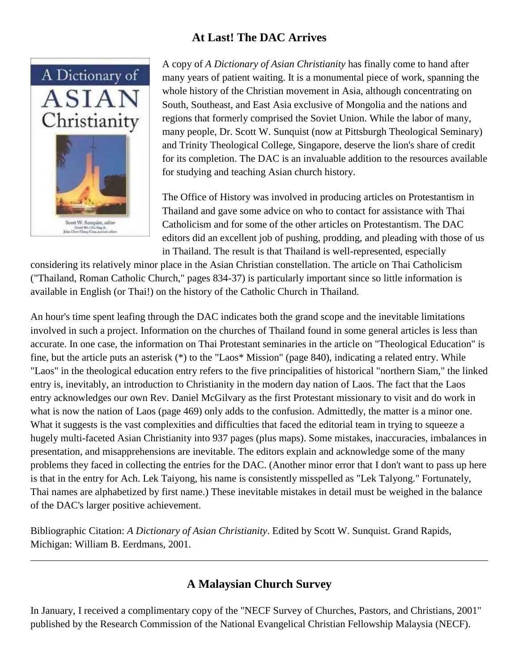## **At Last! The DAC Arrives**

<span id="page-25-0"></span>

A copy of *A Dictionary of Asian Christianity* has finally come to hand after many years of patient waiting. It is a monumental piece of work, spanning the whole history of the Christian movement in Asia, although concentrating on South, Southeast, and East Asia exclusive of Mongolia and the nations and regions that formerly comprised the Soviet Union. While the labor of many, many people, Dr. Scott W. Sunquist (now at Pittsburgh Theological Seminary) and Trinity Theological College, Singapore, deserve the lion's share of credit for its completion. The DAC is an invaluable addition to the resources available for studying and teaching Asian church history.

The Office of History was involved in producing articles on Protestantism in Thailand and gave some advice on who to contact for assistance with Thai Catholicism and for some of the other articles on Protestantism. The DAC editors did an excellent job of pushing, prodding, and pleading with those of us in Thailand. The result is that Thailand is well-represented, especially

considering its relatively minor place in the Asian Christian constellation. The article on Thai Catholicism ("Thailand, Roman Catholic Church," pages 834-37) is particularly important since so little information is available in English (or Thai!) on the history of the Catholic Church in Thailand.

An hour's time spent leafing through the DAC indicates both the grand scope and the inevitable limitations involved in such a project. Information on the churches of Thailand found in some general articles is less than accurate. In one case, the information on Thai Protestant seminaries in the article on "Theological Education" is fine, but the article puts an asterisk (\*) to the "Laos\* Mission" (page 840), indicating a related entry. While "Laos" in the theological education entry refers to the five principalities of historical "northern Siam," the linked entry is, inevitably, an introduction to Christianity in the modern day nation of Laos. The fact that the Laos entry acknowledges our own Rev. Daniel McGilvary as the first Protestant missionary to visit and do work in what is now the nation of Laos (page 469) only adds to the confusion. Admittedly, the matter is a minor one. What it suggests is the vast complexities and difficulties that faced the editorial team in trying to squeeze a hugely multi-faceted Asian Christianity into 937 pages (plus maps). Some mistakes, inaccuracies, imbalances in presentation, and misapprehensions are inevitable. The editors explain and acknowledge some of the many problems they faced in collecting the entries for the DAC. (Another minor error that I don't want to pass up here is that in the entry for Ach. Lek Taiyong, his name is consistently misspelled as "Lek Talyong." Fortunately, Thai names are alphabetized by first name.) These inevitable mistakes in detail must be weighed in the balance of the DAC's larger positive achievement.

Bibliographic Citation: *A Dictionary of Asian Christianity*. Edited by Scott W. Sunquist. Grand Rapids, Michigan: William B. Eerdmans, 2001.

# **A Malaysian Church Survey**

<span id="page-25-1"></span>In January, I received a complimentary copy of the "NECF Survey of Churches, Pastors, and Christians, 2001" published by the Research Commission of the National Evangelical Christian Fellowship Malaysia (NECF).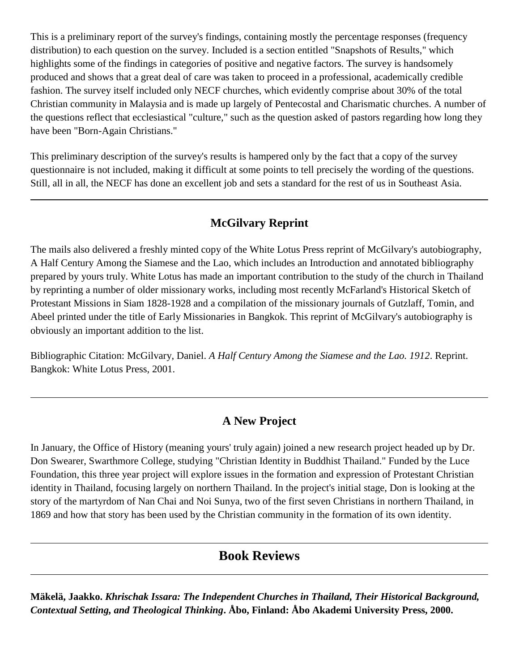This is a preliminary report of the survey's findings, containing mostly the percentage responses (frequency distribution) to each question on the survey. Included is a section entitled "Snapshots of Results," which highlights some of the findings in categories of positive and negative factors. The survey is handsomely produced and shows that a great deal of care was taken to proceed in a professional, academically credible fashion. The survey itself included only NECF churches, which evidently comprise about 30% of the total Christian community in Malaysia and is made up largely of Pentecostal and Charismatic churches. A number of the questions reflect that ecclesiastical "culture," such as the question asked of pastors regarding how long they have been "Born-Again Christians."

This preliminary description of the survey's results is hampered only by the fact that a copy of the survey questionnaire is not included, making it difficult at some points to tell precisely the wording of the questions. Still, all in all, the NECF has done an excellent job and sets a standard for the rest of us in Southeast Asia.

# **McGilvary Reprint**

<span id="page-26-0"></span>The mails also delivered a freshly minted copy of the White Lotus Press reprint of McGilvary's autobiography, A Half Century Among the Siamese and the Lao, which includes an Introduction and annotated bibliography prepared by yours truly. White Lotus has made an important contribution to the study of the church in Thailand by reprinting a number of older missionary works, including most recently McFarland's Historical Sketch of Protestant Missions in Siam 1828-1928 and a compilation of the missionary journals of Gutzlaff, Tomin, and Abeel printed under the title of Early Missionaries in Bangkok. This reprint of McGilvary's autobiography is obviously an important addition to the list.

Bibliographic Citation: McGilvary, Daniel. *A Half Century Among the Siamese and the Lao. 1912*. Reprint. Bangkok: White Lotus Press, 2001.

## **A New Project**

<span id="page-26-1"></span>In January, the Office of History (meaning yours' truly again) joined a new research project headed up by Dr. Don Swearer, Swarthmore College, studying "Christian Identity in Buddhist Thailand." Funded by the Luce Foundation, this three year project will explore issues in the formation and expression of Protestant Christian identity in Thailand, focusing largely on northern Thailand. In the project's initial stage, Don is looking at the story of the martyrdom of Nan Chai and Noi Sunya, two of the first seven Christians in northern Thailand, in 1869 and how that story has been used by the Christian community in the formation of its own identity.

## **Book Reviews**

<span id="page-26-2"></span>**Mäkelä, Jaakko.** *Khrischak Issara: The Independent Churches in Thailand, Their Historical Background, Contextual Setting, and Theological Thinking***. Åbo, Finland: Åbo Akademi University Press, 2000.**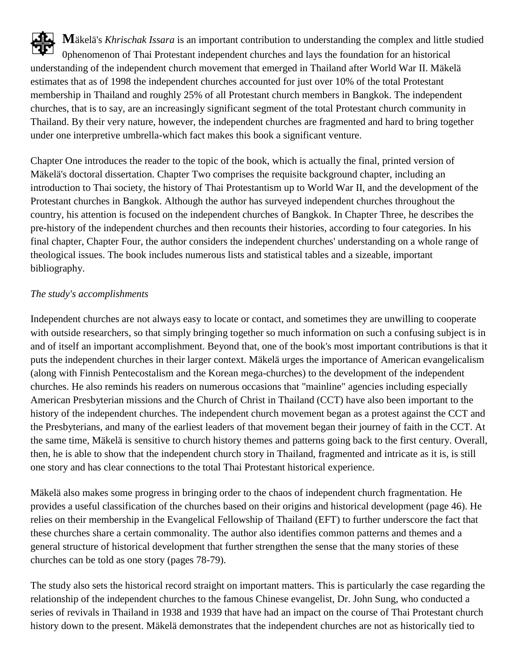**M**äkelä's *Khrischak Issara* is an important contribution to understanding the complex and little studied 0phenomenon of Thai Protestant independent churches and lays the foundation for an historical understanding of the independent church movement that emerged in Thailand after World War II. Mäkelä estimates that as of 1998 the independent churches accounted for just over 10% of the total Protestant membership in Thailand and roughly 25% of all Protestant church members in Bangkok. The independent churches, that is to say, are an increasingly significant segment of the total Protestant church community in Thailand. By their very nature, however, the independent churches are fragmented and hard to bring together under one interpretive umbrella-which fact makes this book a significant venture.

Chapter One introduces the reader to the topic of the book, which is actually the final, printed version of Mäkelä's doctoral dissertation. Chapter Two comprises the requisite background chapter, including an introduction to Thai society, the history of Thai Protestantism up to World War II, and the development of the Protestant churches in Bangkok. Although the author has surveyed independent churches throughout the country, his attention is focused on the independent churches of Bangkok. In Chapter Three, he describes the pre-history of the independent churches and then recounts their histories, according to four categories. In his final chapter, Chapter Four, the author considers the independent churches' understanding on a whole range of theological issues. The book includes numerous lists and statistical tables and a sizeable, important bibliography.

#### *The study's accomplishments*

Independent churches are not always easy to locate or contact, and sometimes they are unwilling to cooperate with outside researchers, so that simply bringing together so much information on such a confusing subject is in and of itself an important accomplishment. Beyond that, one of the book's most important contributions is that it puts the independent churches in their larger context. Mäkelä urges the importance of American evangelicalism (along with Finnish Pentecostalism and the Korean mega-churches) to the development of the independent churches. He also reminds his readers on numerous occasions that "mainline" agencies including especially American Presbyterian missions and the Church of Christ in Thailand (CCT) have also been important to the history of the independent churches. The independent church movement began as a protest against the CCT and the Presbyterians, and many of the earliest leaders of that movement began their journey of faith in the CCT. At the same time, Mäkelä is sensitive to church history themes and patterns going back to the first century. Overall, then, he is able to show that the independent church story in Thailand, fragmented and intricate as it is, is still one story and has clear connections to the total Thai Protestant historical experience.

Mäkelä also makes some progress in bringing order to the chaos of independent church fragmentation. He provides a useful classification of the churches based on their origins and historical development (page 46). He relies on their membership in the Evangelical Fellowship of Thailand (EFT) to further underscore the fact that these churches share a certain commonality. The author also identifies common patterns and themes and a general structure of historical development that further strengthen the sense that the many stories of these churches can be told as one story (pages 78-79).

The study also sets the historical record straight on important matters. This is particularly the case regarding the relationship of the independent churches to the famous Chinese evangelist, Dr. John Sung, who conducted a series of revivals in Thailand in 1938 and 1939 that have had an impact on the course of Thai Protestant church history down to the present. Mäkelä demonstrates that the independent churches are not as historically tied to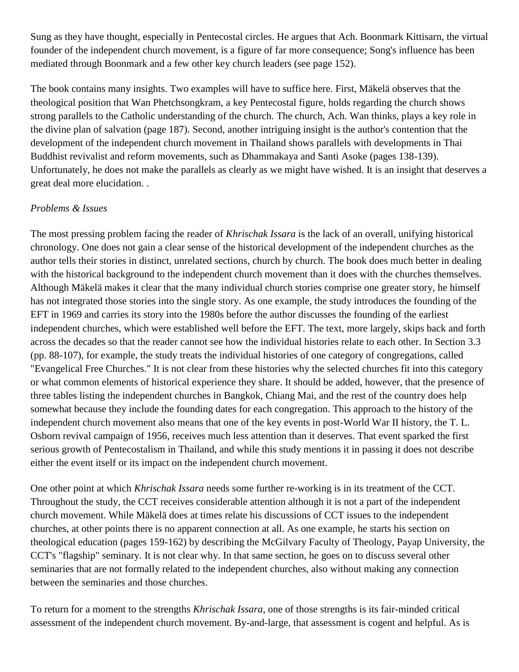Sung as they have thought, especially in Pentecostal circles. He argues that Ach. Boonmark Kittisarn, the virtual founder of the independent church movement, is a figure of far more consequence; Song's influence has been mediated through Boonmark and a few other key church leaders (see page 152).

The book contains many insights. Two examples will have to suffice here. First, Mäkelä observes that the theological position that Wan Phetchsongkram, a key Pentecostal figure, holds regarding the church shows strong parallels to the Catholic understanding of the church. The church, Ach. Wan thinks, plays a key role in the divine plan of salvation (page 187). Second, another intriguing insight is the author's contention that the development of the independent church movement in Thailand shows parallels with developments in Thai Buddhist revivalist and reform movements, such as Dhammakaya and Santi Asoke (pages 138-139). Unfortunately, he does not make the parallels as clearly as we might have wished. It is an insight that deserves a great deal more elucidation. .

#### *Problems & Issues*

The most pressing problem facing the reader of *Khrischak Issara* is the lack of an overall, unifying historical chronology. One does not gain a clear sense of the historical development of the independent churches as the author tells their stories in distinct, unrelated sections, church by church. The book does much better in dealing with the historical background to the independent church movement than it does with the churches themselves. Although Mäkelä makes it clear that the many individual church stories comprise one greater story, he himself has not integrated those stories into the single story. As one example, the study introduces the founding of the EFT in 1969 and carries its story into the 1980s before the author discusses the founding of the earliest independent churches, which were established well before the EFT. The text, more largely, skips back and forth across the decades so that the reader cannot see how the individual histories relate to each other. In Section 3.3 (pp. 88-107), for example, the study treats the individual histories of one category of congregations, called "Evangelical Free Churches." It is not clear from these histories why the selected churches fit into this category or what common elements of historical experience they share. It should be added, however, that the presence of three tables listing the independent churches in Bangkok, Chiang Mai, and the rest of the country does help somewhat because they include the founding dates for each congregation. This approach to the history of the independent church movement also means that one of the key events in post-World War II history, the T. L. Osborn revival campaign of 1956, receives much less attention than it deserves. That event sparked the first serious growth of Pentecostalism in Thailand, and while this study mentions it in passing it does not describe either the event itself or its impact on the independent church movement.

One other point at which *Khrischak Issara* needs some further re-working is in its treatment of the CCT. Throughout the study, the CCT receives considerable attention although it is not a part of the independent church movement. While Mäkelä does at times relate his discussions of CCT issues to the independent churches, at other points there is no apparent connection at all. As one example, he starts his section on theological education (pages 159-162) by describing the McGilvary Faculty of Theology, Payap University, the CCT's "flagship" seminary. It is not clear why. In that same section, he goes on to discuss several other seminaries that are not formally related to the independent churches, also without making any connection between the seminaries and those churches.

To return for a moment to the strengths *Khrischak Issara*, one of those strengths is its fair-minded critical assessment of the independent church movement. By-and-large, that assessment is cogent and helpful. As is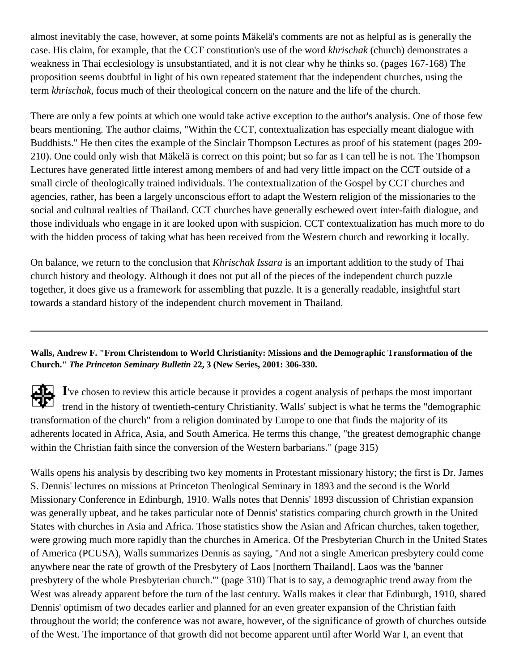almost inevitably the case, however, at some points Mäkelä's comments are not as helpful as is generally the case. His claim, for example, that the CCT constitution's use of the word *khrischak* (church) demonstrates a weakness in Thai ecclesiology is unsubstantiated, and it is not clear why he thinks so. (pages 167-168) The proposition seems doubtful in light of his own repeated statement that the independent churches, using the term *khrischak*, focus much of their theological concern on the nature and the life of the church.

There are only a few points at which one would take active exception to the author's analysis. One of those few bears mentioning. The author claims, "Within the CCT, contextualization has especially meant dialogue with Buddhists." He then cites the example of the Sinclair Thompson Lectures as proof of his statement (pages 209- 210). One could only wish that Mäkelä is correct on this point; but so far as I can tell he is not. The Thompson Lectures have generated little interest among members of and had very little impact on the CCT outside of a small circle of theologically trained individuals. The contextualization of the Gospel by CCT churches and agencies, rather, has been a largely unconscious effort to adapt the Western religion of the missionaries to the social and cultural realties of Thailand. CCT churches have generally eschewed overt inter-faith dialogue, and those individuals who engage in it are looked upon with suspicion. CCT contextualization has much more to do with the hidden process of taking what has been received from the Western church and reworking it locally.

On balance, we return to the conclusion that *Khrischak Issara* is an important addition to the study of Thai church history and theology. Although it does not put all of the pieces of the independent church puzzle together, it does give us a framework for assembling that puzzle. It is a generally readable, insightful start towards a standard history of the independent church movement in Thailand.

#### <span id="page-29-0"></span>**Walls, Andrew F. "From Christendom to World Christianity: Missions and the Demographic Transformation of the Church."** *The Princeton Seminary Bulletin* **22, 3 (New Series, 2001: 306-330.**

**I**'ve chosen to review this article because it provides a cogent analysis of perhaps the most important trend in the history of twentieth-century Christianity. Walls' subject is what he terms the "demographic transformation of the church" from a religion dominated by Europe to one that finds the majority of its adherents located in Africa, Asia, and South America. He terms this change, "the greatest demographic change within the Christian faith since the conversion of the Western barbarians." (page 315)

Walls opens his analysis by describing two key moments in Protestant missionary history; the first is Dr. James S. Dennis' lectures on missions at Princeton Theological Seminary in 1893 and the second is the World Missionary Conference in Edinburgh, 1910. Walls notes that Dennis' 1893 discussion of Christian expansion was generally upbeat, and he takes particular note of Dennis' statistics comparing church growth in the United States with churches in Asia and Africa. Those statistics show the Asian and African churches, taken together, were growing much more rapidly than the churches in America. Of the Presbyterian Church in the United States of America (PCUSA), Walls summarizes Dennis as saying, "And not a single American presbytery could come anywhere near the rate of growth of the Presbytery of Laos [northern Thailand]. Laos was the 'banner presbytery of the whole Presbyterian church.'" (page 310) That is to say, a demographic trend away from the West was already apparent before the turn of the last century. Walls makes it clear that Edinburgh, 1910, shared Dennis' optimism of two decades earlier and planned for an even greater expansion of the Christian faith throughout the world; the conference was not aware, however, of the significance of growth of churches outside of the West. The importance of that growth did not become apparent until after World War I, an event that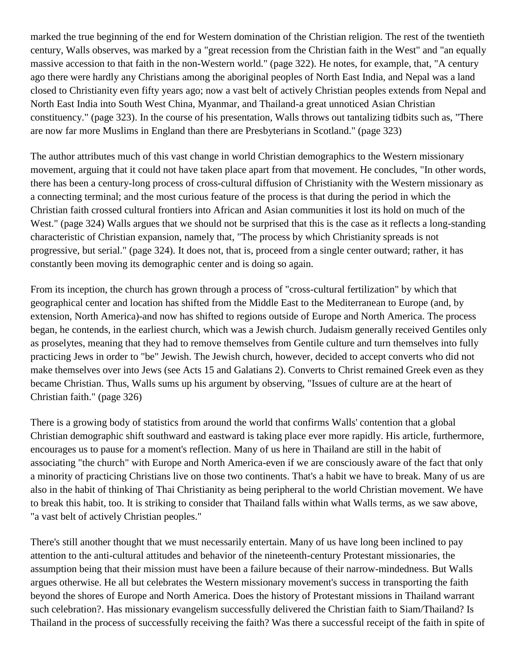marked the true beginning of the end for Western domination of the Christian religion. The rest of the twentieth century, Walls observes, was marked by a "great recession from the Christian faith in the West" and "an equally massive accession to that faith in the non-Western world." (page 322). He notes, for example, that, "A century ago there were hardly any Christians among the aboriginal peoples of North East India, and Nepal was a land closed to Christianity even fifty years ago; now a vast belt of actively Christian peoples extends from Nepal and North East India into South West China, Myanmar, and Thailand-a great unnoticed Asian Christian constituency." (page 323). In the course of his presentation, Walls throws out tantalizing tidbits such as, "There are now far more Muslims in England than there are Presbyterians in Scotland." (page 323)

The author attributes much of this vast change in world Christian demographics to the Western missionary movement, arguing that it could not have taken place apart from that movement. He concludes, "In other words, there has been a century-long process of cross-cultural diffusion of Christianity with the Western missionary as a connecting terminal; and the most curious feature of the process is that during the period in which the Christian faith crossed cultural frontiers into African and Asian communities it lost its hold on much of the West." (page 324) Walls argues that we should not be surprised that this is the case as it reflects a long-standing characteristic of Christian expansion, namely that, "The process by which Christianity spreads is not progressive, but serial." (page 324). It does not, that is, proceed from a single center outward; rather, it has constantly been moving its demographic center and is doing so again.

From its inception, the church has grown through a process of "cross-cultural fertilization" by which that geographical center and location has shifted from the Middle East to the Mediterranean to Europe (and, by extension, North America)-and now has shifted to regions outside of Europe and North America. The process began, he contends, in the earliest church, which was a Jewish church. Judaism generally received Gentiles only as proselytes, meaning that they had to remove themselves from Gentile culture and turn themselves into fully practicing Jews in order to "be" Jewish. The Jewish church, however, decided to accept converts who did not make themselves over into Jews (see Acts 15 and Galatians 2). Converts to Christ remained Greek even as they became Christian. Thus, Walls sums up his argument by observing, "Issues of culture are at the heart of Christian faith." (page 326)

There is a growing body of statistics from around the world that confirms Walls' contention that a global Christian demographic shift southward and eastward is taking place ever more rapidly. His article, furthermore, encourages us to pause for a moment's reflection. Many of us here in Thailand are still in the habit of associating "the church" with Europe and North America-even if we are consciously aware of the fact that only a minority of practicing Christians live on those two continents. That's a habit we have to break. Many of us are also in the habit of thinking of Thai Christianity as being peripheral to the world Christian movement. We have to break this habit, too. It is striking to consider that Thailand falls within what Walls terms, as we saw above, "a vast belt of actively Christian peoples."

There's still another thought that we must necessarily entertain. Many of us have long been inclined to pay attention to the anti-cultural attitudes and behavior of the nineteenth-century Protestant missionaries, the assumption being that their mission must have been a failure because of their narrow-mindedness. But Walls argues otherwise. He all but celebrates the Western missionary movement's success in transporting the faith beyond the shores of Europe and North America. Does the history of Protestant missions in Thailand warrant such celebration?. Has missionary evangelism successfully delivered the Christian faith to Siam/Thailand? Is Thailand in the process of successfully receiving the faith? Was there a successful receipt of the faith in spite of